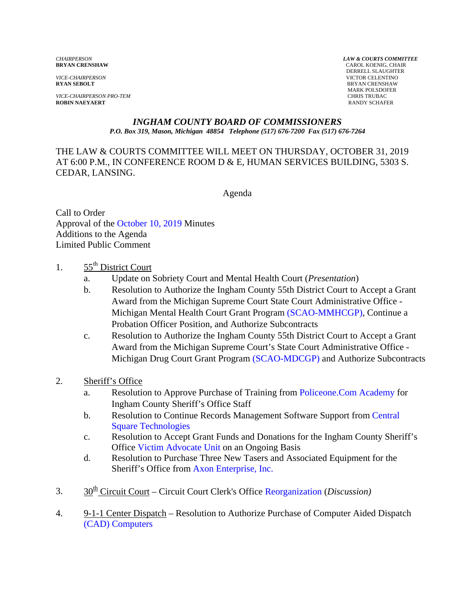*VICE-CHAIRPERSON PRO-TEM* CHRIS TRUBAC **ROBIN NAEYAERT** 

*CHAIRPERSON LAW & COURTS COMMITTEE* **CAROL KOENIG, CHAIR**  DERRELL SLAUGHTER *VICE-CHAIRPERSON* VICTOR CELENTINO **BRYAN CRENSHAW** MARK POLSDOFER

#### *INGHAM COUNTY BOARD OF COMMISSIONERS P.O. Box 319, Mason, Michigan 48854 Telephone (517) 676-7200 Fax (517) 676-7264*

THE LAW & COURTS COMMITTEE WILL MEET ON THURSDAY, OCTOBER 31, 2019 AT 6:00 P.M., IN CONFERENCE ROOM D & E, HUMAN SERVICES BUILDING, 5303 S. CEDAR, LANSING.

Agenda

Call to Order Approval of t[he October 10, 2019](#page-2-0) Minutes Additions to the Agenda Limited Public Comment

- 1. 55<sup>th</sup> District Court
	- a. Update on Sobriety Court and Mental Health Court (*Presentation*)
	- b. Resolution to Authorize the Ingham County 55th District Court to Accept a Grant Award from the Michigan Supreme Co[urt State Court Administrative Office -](#page-18-0) Michigan Mental Health Court Grant Program (SCAO-MMHCGP), Continue a Probation Officer Position, and Authorize Subcontracts
	- c. Resolution to Authorize the Ingham County 55th District Court to Accept a Grant Award from the Michigan Supreme Court's State Court Administrative Office - Michigan Drug Court Grant Progr[am \(SCAO-MDCGP\) and Author](#page-21-0)ize Subcontracts
- 2. Sheriff's Office
	- a. Resolution to Approve Purchase of Training fr[om Policeone.Com Academy for](#page-24-0) Ingham County Sheriff's Office Staff
	- b. [Resolution to Continue Records Management Software Support from](#page-26-0) Central Square Technologies
	- c. Resolution to Accept Grant Funds and Donations for the Ingham County Sheriff's Offic[e Victim Advocate Unit on an](#page-28-0) Ongoing Basis
	- d. Resolution to Purchase Three New Tasers and Associated Equipment for the Sheriff's Office from [Axon Enterprise, Inc.](#page-30-0)
- 3. 30<sup>th</sup> Circuit Court Circuit Court Clerk's Off[ice Reorganization \(](#page-32-0)*Discussion*)
- 4. 9-1-1 Center Dispatch Resolution to Authorize Purchase of Computer Aided Dispatch [\(CAD\) Computers](#page-48-0)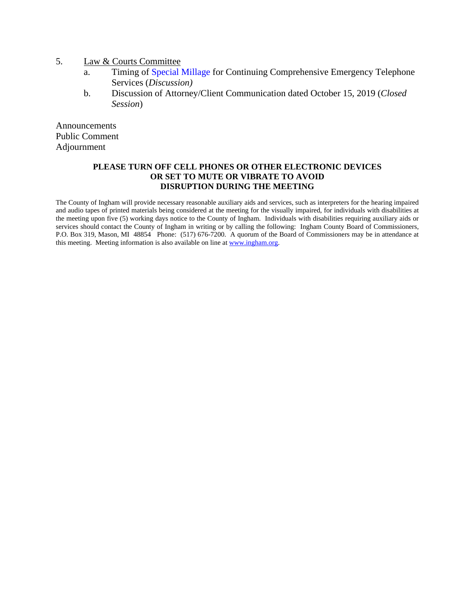- 5. Law & Courts Committee
	- a. Timin[g of Special Millage for Continui](#page-50-0)ng Comprehensive Emergency Telephone Services (*Discussion)*
	- b. Discussion of Attorney/Client Communication dated October 15, 2019 (*Closed Session*)

Announcements Public Comment Adjournment

#### **PLEASE TURN OFF CELL PHONES OR OTHER ELECTRONIC DEVICES OR SET TO MUTE OR VIBRATE TO AVOID DISRUPTION DURING THE MEETING**

The County of Ingham will provide necessary reasonable auxiliary aids and services, such as interpreters for the hearing impaired and audio tapes of printed materials being considered at the meeting for the visually impaired, for individuals with disabilities at the meeting upon five (5) working days notice to the County of Ingham. Individuals with disabilities requiring auxiliary aids or services should contact the County of Ingham in writing or by calling the following: Ingham County Board of Commissioners, P.O. Box 319, Mason, MI 48854 Phone: (517) 676-7200. A quorum of the Board of Commissioners may be in attendance at this meeting. Meeting information is also available on line at www.ingham.org.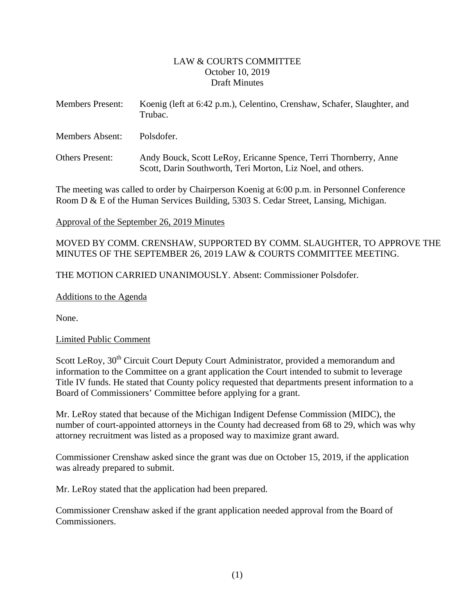## LAW & COURTS COMMITTEE October 10, 2019 Draft Minutes

<span id="page-2-0"></span>

| <b>Members Present:</b> | Koenig (left at 6:42 p.m.), Celentino, Crenshaw, Schafer, Slaughter, and<br>Trubac.                                             |
|-------------------------|---------------------------------------------------------------------------------------------------------------------------------|
| Members Absent:         | Polsdofer.                                                                                                                      |
| <b>Others Present:</b>  | Andy Bouck, Scott LeRoy, Ericanne Spence, Terri Thornberry, Anne<br>Scott, Darin Southworth, Teri Morton, Liz Noel, and others. |

The meeting was called to order by Chairperson Koenig at 6:00 p.m. in Personnel Conference Room D & E of the Human Services Building, 5303 S. Cedar Street, Lansing, Michigan.

Approval of the September 26, 2019 Minutes

MOVED BY COMM. CRENSHAW, SUPPORTED BY COMM. SLAUGHTER, TO APPROVE THE MINUTES OF THE SEPTEMBER 26, 2019 LAW & COURTS COMMITTEE MEETING.

THE MOTION CARRIED UNANIMOUSLY. Absent: Commissioner Polsdofer.

Additions to the Agenda

None.

Limited Public Comment

Scott LeRoy, 30<sup>th</sup> Circuit Court Deputy Court Administrator, provided a memorandum and information to the Committee on a grant application the Court intended to submit to leverage Title IV funds. He stated that County policy requested that departments present information to a Board of Commissioners' Committee before applying for a grant.

Mr. LeRoy stated that because of the Michigan Indigent Defense Commission (MIDC), the number of court-appointed attorneys in the County had decreased from 68 to 29, which was why attorney recruitment was listed as a proposed way to maximize grant award.

Commissioner Crenshaw asked since the grant was due on October 15, 2019, if the application was already prepared to submit.

Mr. LeRoy stated that the application had been prepared.

Commissioner Crenshaw asked if the grant application needed approval from the Board of Commissioners.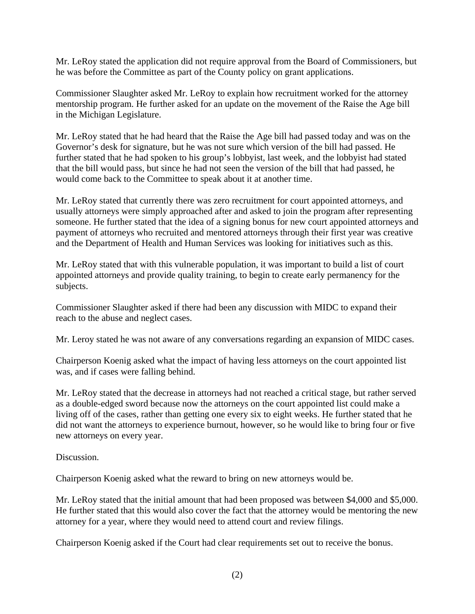Mr. LeRoy stated the application did not require approval from the Board of Commissioners, but he was before the Committee as part of the County policy on grant applications.

Commissioner Slaughter asked Mr. LeRoy to explain how recruitment worked for the attorney mentorship program. He further asked for an update on the movement of the Raise the Age bill in the Michigan Legislature.

Mr. LeRoy stated that he had heard that the Raise the Age bill had passed today and was on the Governor's desk for signature, but he was not sure which version of the bill had passed. He further stated that he had spoken to his group's lobbyist, last week, and the lobbyist had stated that the bill would pass, but since he had not seen the version of the bill that had passed, he would come back to the Committee to speak about it at another time.

Mr. LeRoy stated that currently there was zero recruitment for court appointed attorneys, and usually attorneys were simply approached after and asked to join the program after representing someone. He further stated that the idea of a signing bonus for new court appointed attorneys and payment of attorneys who recruited and mentored attorneys through their first year was creative and the Department of Health and Human Services was looking for initiatives such as this.

Mr. LeRoy stated that with this vulnerable population, it was important to build a list of court appointed attorneys and provide quality training, to begin to create early permanency for the subjects.

Commissioner Slaughter asked if there had been any discussion with MIDC to expand their reach to the abuse and neglect cases.

Mr. Leroy stated he was not aware of any conversations regarding an expansion of MIDC cases.

Chairperson Koenig asked what the impact of having less attorneys on the court appointed list was, and if cases were falling behind.

Mr. LeRoy stated that the decrease in attorneys had not reached a critical stage, but rather served as a double-edged sword because now the attorneys on the court appointed list could make a living off of the cases, rather than getting one every six to eight weeks. He further stated that he did not want the attorneys to experience burnout, however, so he would like to bring four or five new attorneys on every year.

Discussion.

Chairperson Koenig asked what the reward to bring on new attorneys would be.

Mr. LeRoy stated that the initial amount that had been proposed was between \$4,000 and \$5,000. He further stated that this would also cover the fact that the attorney would be mentoring the new attorney for a year, where they would need to attend court and review filings.

Chairperson Koenig asked if the Court had clear requirements set out to receive the bonus.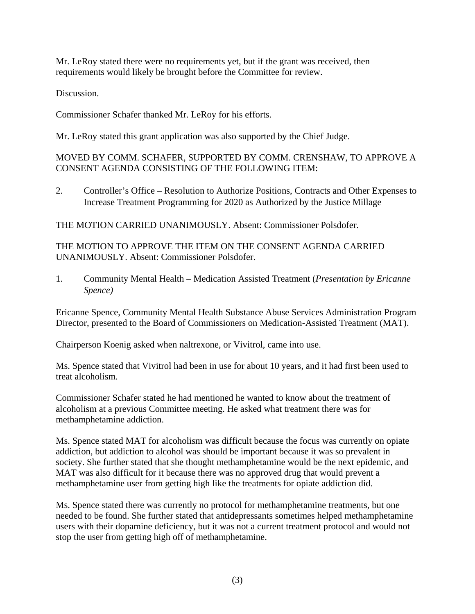Mr. LeRoy stated there were no requirements yet, but if the grant was received, then requirements would likely be brought before the Committee for review.

Discussion.

Commissioner Schafer thanked Mr. LeRoy for his efforts.

Mr. LeRoy stated this grant application was also supported by the Chief Judge.

## MOVED BY COMM. SCHAFER, SUPPORTED BY COMM. CRENSHAW, TO APPROVE A CONSENT AGENDA CONSISTING OF THE FOLLOWING ITEM:

2. Controller's Office – Resolution to Authorize Positions, Contracts and Other Expenses to Increase Treatment Programming for 2020 as Authorized by the Justice Millage

THE MOTION CARRIED UNANIMOUSLY. Absent: Commissioner Polsdofer.

THE MOTION TO APPROVE THE ITEM ON THE CONSENT AGENDA CARRIED UNANIMOUSLY. Absent: Commissioner Polsdofer.

1. Community Mental Health – Medication Assisted Treatment (*Presentation by Ericanne Spence)* 

Ericanne Spence, Community Mental Health Substance Abuse Services Administration Program Director, presented to the Board of Commissioners on Medication-Assisted Treatment (MAT).

Chairperson Koenig asked when naltrexone, or Vivitrol, came into use.

Ms. Spence stated that Vivitrol had been in use for about 10 years, and it had first been used to treat alcoholism.

Commissioner Schafer stated he had mentioned he wanted to know about the treatment of alcoholism at a previous Committee meeting. He asked what treatment there was for methamphetamine addiction.

Ms. Spence stated MAT for alcoholism was difficult because the focus was currently on opiate addiction, but addiction to alcohol was should be important because it was so prevalent in society. She further stated that she thought methamphetamine would be the next epidemic, and MAT was also difficult for it because there was no approved drug that would prevent a methamphetamine user from getting high like the treatments for opiate addiction did.

Ms. Spence stated there was currently no protocol for methamphetamine treatments, but one needed to be found. She further stated that antidepressants sometimes helped methamphetamine users with their dopamine deficiency, but it was not a current treatment protocol and would not stop the user from getting high off of methamphetamine.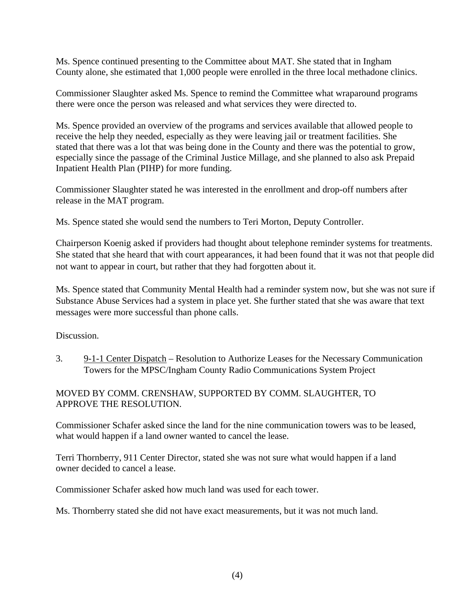Ms. Spence continued presenting to the Committee about MAT. She stated that in Ingham County alone, she estimated that 1,000 people were enrolled in the three local methadone clinics.

Commissioner Slaughter asked Ms. Spence to remind the Committee what wraparound programs there were once the person was released and what services they were directed to.

Ms. Spence provided an overview of the programs and services available that allowed people to receive the help they needed, especially as they were leaving jail or treatment facilities. She stated that there was a lot that was being done in the County and there was the potential to grow, especially since the passage of the Criminal Justice Millage, and she planned to also ask Prepaid Inpatient Health Plan (PIHP) for more funding.

Commissioner Slaughter stated he was interested in the enrollment and drop-off numbers after release in the MAT program.

Ms. Spence stated she would send the numbers to Teri Morton, Deputy Controller.

Chairperson Koenig asked if providers had thought about telephone reminder systems for treatments. She stated that she heard that with court appearances, it had been found that it was not that people did not want to appear in court, but rather that they had forgotten about it.

Ms. Spence stated that Community Mental Health had a reminder system now, but she was not sure if Substance Abuse Services had a system in place yet. She further stated that she was aware that text messages were more successful than phone calls.

Discussion.

3. 9-1-1 Center Dispatch – Resolution to Authorize Leases for the Necessary Communication Towers for the MPSC/Ingham County Radio Communications System Project

## MOVED BY COMM. CRENSHAW, SUPPORTED BY COMM. SLAUGHTER, TO APPROVE THE RESOLUTION.

Commissioner Schafer asked since the land for the nine communication towers was to be leased, what would happen if a land owner wanted to cancel the lease.

Terri Thornberry, 911 Center Director, stated she was not sure what would happen if a land owner decided to cancel a lease.

Commissioner Schafer asked how much land was used for each tower.

Ms. Thornberry stated she did not have exact measurements, but it was not much land.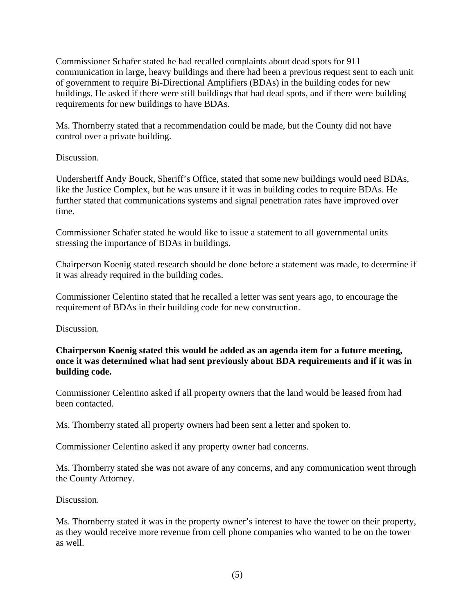Commissioner Schafer stated he had recalled complaints about dead spots for 911 communication in large, heavy buildings and there had been a previous request sent to each unit of government to require Bi-Directional Amplifiers (BDAs) in the building codes for new buildings. He asked if there were still buildings that had dead spots, and if there were building requirements for new buildings to have BDAs.

Ms. Thornberry stated that a recommendation could be made, but the County did not have control over a private building.

# Discussion.

Undersheriff Andy Bouck, Sheriff's Office, stated that some new buildings would need BDAs, like the Justice Complex, but he was unsure if it was in building codes to require BDAs. He further stated that communications systems and signal penetration rates have improved over time.

Commissioner Schafer stated he would like to issue a statement to all governmental units stressing the importance of BDAs in buildings.

Chairperson Koenig stated research should be done before a statement was made, to determine if it was already required in the building codes.

Commissioner Celentino stated that he recalled a letter was sent years ago, to encourage the requirement of BDAs in their building code for new construction.

Discussion.

**Chairperson Koenig stated this would be added as an agenda item for a future meeting, once it was determined what had sent previously about BDA requirements and if it was in building code.** 

Commissioner Celentino asked if all property owners that the land would be leased from had been contacted.

Ms. Thornberry stated all property owners had been sent a letter and spoken to.

Commissioner Celentino asked if any property owner had concerns.

Ms. Thornberry stated she was not aware of any concerns, and any communication went through the County Attorney.

Discussion.

Ms. Thornberry stated it was in the property owner's interest to have the tower on their property, as they would receive more revenue from cell phone companies who wanted to be on the tower as well.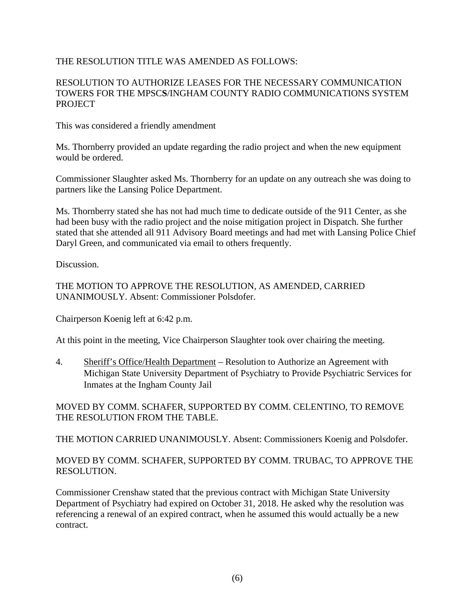# THE RESOLUTION TITLE WAS AMENDED AS FOLLOWS:

## RESOLUTION TO AUTHORIZE LEASES FOR THE NECESSARY COMMUNICATION TOWERS FOR THE MPSC**S**/INGHAM COUNTY RADIO COMMUNICATIONS SYSTEM PROJECT

This was considered a friendly amendment

Ms. Thornberry provided an update regarding the radio project and when the new equipment would be ordered.

Commissioner Slaughter asked Ms. Thornberry for an update on any outreach she was doing to partners like the Lansing Police Department.

Ms. Thornberry stated she has not had much time to dedicate outside of the 911 Center, as she had been busy with the radio project and the noise mitigation project in Dispatch. She further stated that she attended all 911 Advisory Board meetings and had met with Lansing Police Chief Daryl Green, and communicated via email to others frequently.

Discussion.

THE MOTION TO APPROVE THE RESOLUTION, AS AMENDED, CARRIED UNANIMOUSLY. Absent: Commissioner Polsdofer.

Chairperson Koenig left at 6:42 p.m.

At this point in the meeting, Vice Chairperson Slaughter took over chairing the meeting.

4. Sheriff's Office/Health Department – Resolution to Authorize an Agreement with Michigan State University Department of Psychiatry to Provide Psychiatric Services for Inmates at the Ingham County Jail

MOVED BY COMM. SCHAFER, SUPPORTED BY COMM. CELENTINO, TO REMOVE THE RESOLUTION FROM THE TABLE.

THE MOTION CARRIED UNANIMOUSLY. Absent: Commissioners Koenig and Polsdofer.

## MOVED BY COMM. SCHAFER, SUPPORTED BY COMM. TRUBAC, TO APPROVE THE RESOLUTION.

Commissioner Crenshaw stated that the previous contract with Michigan State University Department of Psychiatry had expired on October 31, 2018. He asked why the resolution was referencing a renewal of an expired contract, when he assumed this would actually be a new contract.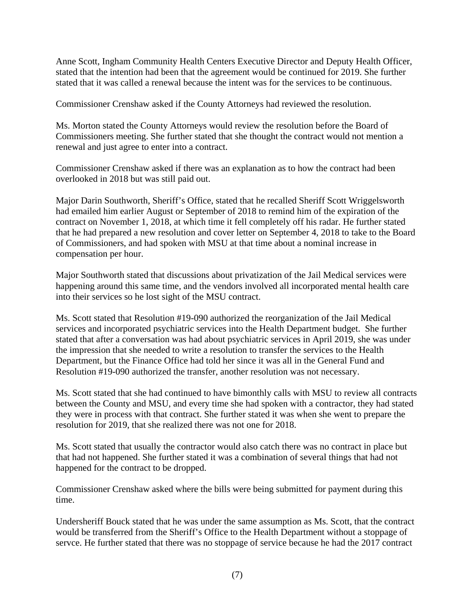Anne Scott, Ingham Community Health Centers Executive Director and Deputy Health Officer, stated that the intention had been that the agreement would be continued for 2019. She further stated that it was called a renewal because the intent was for the services to be continuous.

Commissioner Crenshaw asked if the County Attorneys had reviewed the resolution.

Ms. Morton stated the County Attorneys would review the resolution before the Board of Commissioners meeting. She further stated that she thought the contract would not mention a renewal and just agree to enter into a contract.

Commissioner Crenshaw asked if there was an explanation as to how the contract had been overlooked in 2018 but was still paid out.

Major Darin Southworth, Sheriff's Office, stated that he recalled Sheriff Scott Wriggelsworth had emailed him earlier August or September of 2018 to remind him of the expiration of the contract on November 1, 2018, at which time it fell completely off his radar. He further stated that he had prepared a new resolution and cover letter on September 4, 2018 to take to the Board of Commissioners, and had spoken with MSU at that time about a nominal increase in compensation per hour.

Major Southworth stated that discussions about privatization of the Jail Medical services were happening around this same time, and the vendors involved all incorporated mental health care into their services so he lost sight of the MSU contract.

Ms. Scott stated that Resolution #19-090 authorized the reorganization of the Jail Medical services and incorporated psychiatric services into the Health Department budget. She further stated that after a conversation was had about psychiatric services in April 2019, she was under the impression that she needed to write a resolution to transfer the services to the Health Department, but the Finance Office had told her since it was all in the General Fund and Resolution #19-090 authorized the transfer, another resolution was not necessary.

Ms. Scott stated that she had continued to have bimonthly calls with MSU to review all contracts between the County and MSU, and every time she had spoken with a contractor, they had stated they were in process with that contract. She further stated it was when she went to prepare the resolution for 2019, that she realized there was not one for 2018.

Ms. Scott stated that usually the contractor would also catch there was no contract in place but that had not happened. She further stated it was a combination of several things that had not happened for the contract to be dropped.

Commissioner Crenshaw asked where the bills were being submitted for payment during this time.

Undersheriff Bouck stated that he was under the same assumption as Ms. Scott, that the contract would be transferred from the Sheriff's Office to the Health Department without a stoppage of servce. He further stated that there was no stoppage of service because he had the 2017 contract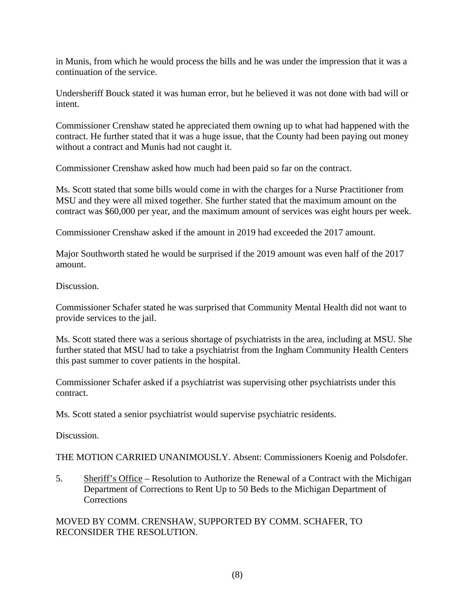in Munis, from which he would process the bills and he was under the impression that it was a continuation of the service.

Undersheriff Bouck stated it was human error, but he believed it was not done with bad will or intent.

Commissioner Crenshaw stated he appreciated them owning up to what had happened with the contract. He further stated that it was a huge issue, that the County had been paying out money without a contract and Munis had not caught it.

Commissioner Crenshaw asked how much had been paid so far on the contract.

Ms. Scott stated that some bills would come in with the charges for a Nurse Practitioner from MSU and they were all mixed together. She further stated that the maximum amount on the contract was \$60,000 per year, and the maximum amount of services was eight hours per week.

Commissioner Crenshaw asked if the amount in 2019 had exceeded the 2017 amount.

Major Southworth stated he would be surprised if the 2019 amount was even half of the 2017 amount.

Discussion.

Commissioner Schafer stated he was surprised that Community Mental Health did not want to provide services to the jail.

Ms. Scott stated there was a serious shortage of psychiatrists in the area, including at MSU. She further stated that MSU had to take a psychiatrist from the Ingham Community Health Centers this past summer to cover patients in the hospital.

Commissioner Schafer asked if a psychiatrist was supervising other psychiatrists under this contract.

Ms. Scott stated a senior psychiatrist would supervise psychiatric residents.

Discussion.

THE MOTION CARRIED UNANIMOUSLY. Absent: Commissioners Koenig and Polsdofer.

5. Sheriff's Office – Resolution to Authorize the Renewal of a Contract with the Michigan Department of Corrections to Rent Up to 50 Beds to the Michigan Department of Corrections

MOVED BY COMM. CRENSHAW, SUPPORTED BY COMM. SCHAFER, TO RECONSIDER THE RESOLUTION.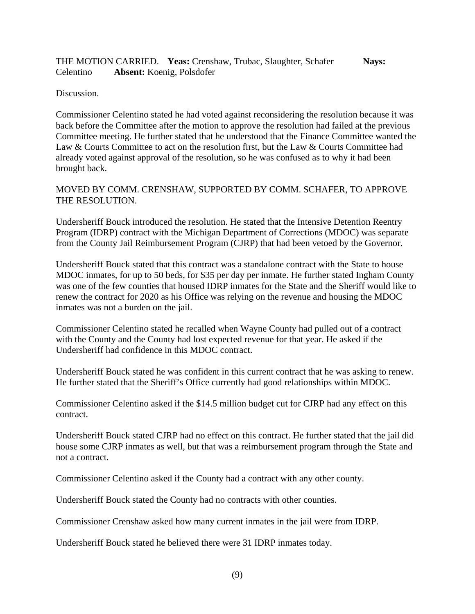THE MOTION CARRIED. **Yeas:** Crenshaw, Trubac, Slaughter, Schafer **Nays:** Celentino **Absent:** Koenig, Polsdofer

Discussion.

Commissioner Celentino stated he had voted against reconsidering the resolution because it was back before the Committee after the motion to approve the resolution had failed at the previous Committee meeting. He further stated that he understood that the Finance Committee wanted the Law & Courts Committee to act on the resolution first, but the Law & Courts Committee had already voted against approval of the resolution, so he was confused as to why it had been brought back.

## MOVED BY COMM. CRENSHAW, SUPPORTED BY COMM. SCHAFER, TO APPROVE THE RESOLUTION.

Undersheriff Bouck introduced the resolution. He stated that the Intensive Detention Reentry Program (IDRP) contract with the Michigan Department of Corrections (MDOC) was separate from the County Jail Reimbursement Program (CJRP) that had been vetoed by the Governor.

Undersheriff Bouck stated that this contract was a standalone contract with the State to house MDOC inmates, for up to 50 beds, for \$35 per day per inmate. He further stated Ingham County was one of the few counties that housed IDRP inmates for the State and the Sheriff would like to renew the contract for 2020 as his Office was relying on the revenue and housing the MDOC inmates was not a burden on the jail.

Commissioner Celentino stated he recalled when Wayne County had pulled out of a contract with the County and the County had lost expected revenue for that year. He asked if the Undersheriff had confidence in this MDOC contract.

Undersheriff Bouck stated he was confident in this current contract that he was asking to renew. He further stated that the Sheriff's Office currently had good relationships within MDOC.

Commissioner Celentino asked if the \$14.5 million budget cut for CJRP had any effect on this contract.

Undersheriff Bouck stated CJRP had no effect on this contract. He further stated that the jail did house some CJRP inmates as well, but that was a reimbursement program through the State and not a contract.

Commissioner Celentino asked if the County had a contract with any other county.

Undersheriff Bouck stated the County had no contracts with other counties.

Commissioner Crenshaw asked how many current inmates in the jail were from IDRP.

Undersheriff Bouck stated he believed there were 31 IDRP inmates today.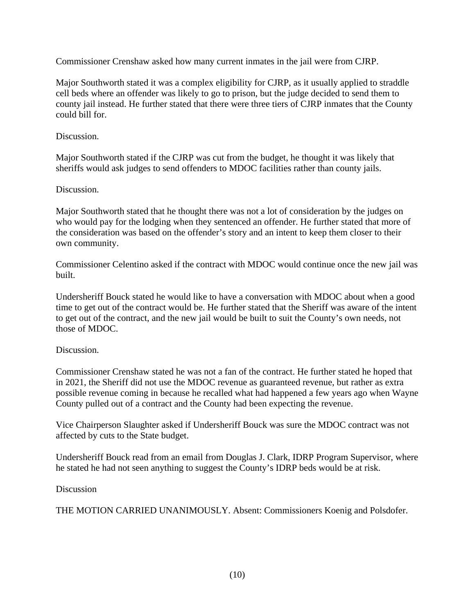Commissioner Crenshaw asked how many current inmates in the jail were from CJRP.

Major Southworth stated it was a complex eligibility for CJRP, as it usually applied to straddle cell beds where an offender was likely to go to prison, but the judge decided to send them to county jail instead. He further stated that there were three tiers of CJRP inmates that the County could bill for.

# Discussion.

Major Southworth stated if the CJRP was cut from the budget, he thought it was likely that sheriffs would ask judges to send offenders to MDOC facilities rather than county jails.

# Discussion.

Major Southworth stated that he thought there was not a lot of consideration by the judges on who would pay for the lodging when they sentenced an offender. He further stated that more of the consideration was based on the offender's story and an intent to keep them closer to their own community.

Commissioner Celentino asked if the contract with MDOC would continue once the new jail was built.

Undersheriff Bouck stated he would like to have a conversation with MDOC about when a good time to get out of the contract would be. He further stated that the Sheriff was aware of the intent to get out of the contract, and the new jail would be built to suit the County's own needs, not those of MDOC.

## Discussion.

Commissioner Crenshaw stated he was not a fan of the contract. He further stated he hoped that in 2021, the Sheriff did not use the MDOC revenue as guaranteed revenue, but rather as extra possible revenue coming in because he recalled what had happened a few years ago when Wayne County pulled out of a contract and the County had been expecting the revenue.

Vice Chairperson Slaughter asked if Undersheriff Bouck was sure the MDOC contract was not affected by cuts to the State budget.

Undersheriff Bouck read from an email from Douglas J. Clark, IDRP Program Supervisor, where he stated he had not seen anything to suggest the County's IDRP beds would be at risk.

## Discussion

THE MOTION CARRIED UNANIMOUSLY. Absent: Commissioners Koenig and Polsdofer.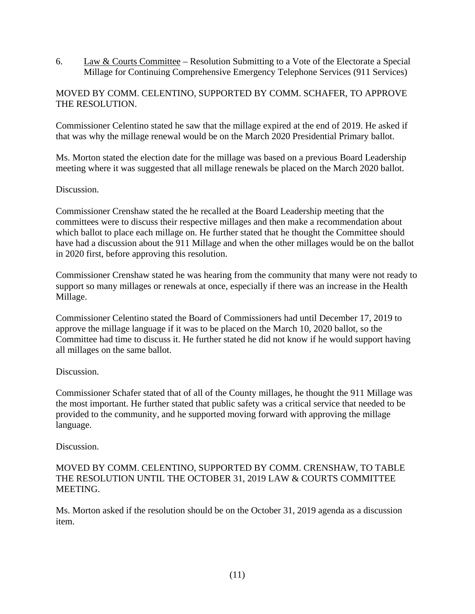6. Law & Courts Committee – Resolution Submitting to a Vote of the Electorate a Special Millage for Continuing Comprehensive Emergency Telephone Services (911 Services)

## MOVED BY COMM. CELENTINO, SUPPORTED BY COMM. SCHAFER, TO APPROVE THE RESOLUTION.

Commissioner Celentino stated he saw that the millage expired at the end of 2019. He asked if that was why the millage renewal would be on the March 2020 Presidential Primary ballot.

Ms. Morton stated the election date for the millage was based on a previous Board Leadership meeting where it was suggested that all millage renewals be placed on the March 2020 ballot.

## Discussion.

Commissioner Crenshaw stated the he recalled at the Board Leadership meeting that the committees were to discuss their respective millages and then make a recommendation about which ballot to place each millage on. He further stated that he thought the Committee should have had a discussion about the 911 Millage and when the other millages would be on the ballot in 2020 first, before approving this resolution.

Commissioner Crenshaw stated he was hearing from the community that many were not ready to support so many millages or renewals at once, especially if there was an increase in the Health Millage.

Commissioner Celentino stated the Board of Commissioners had until December 17, 2019 to approve the millage language if it was to be placed on the March 10, 2020 ballot, so the Committee had time to discuss it. He further stated he did not know if he would support having all millages on the same ballot.

### Discussion.

Commissioner Schafer stated that of all of the County millages, he thought the 911 Millage was the most important. He further stated that public safety was a critical service that needed to be provided to the community, and he supported moving forward with approving the millage language.

### Discussion.

## MOVED BY COMM. CELENTINO, SUPPORTED BY COMM. CRENSHAW, TO TABLE THE RESOLUTION UNTIL THE OCTOBER 31, 2019 LAW & COURTS COMMITTEE MEETING.

Ms. Morton asked if the resolution should be on the October 31, 2019 agenda as a discussion item.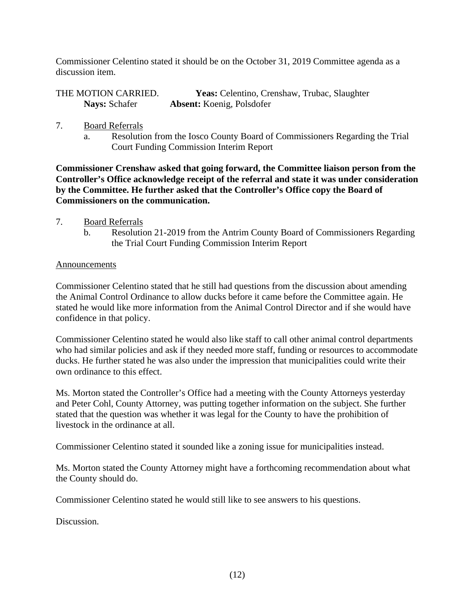Commissioner Celentino stated it should be on the October 31, 2019 Committee agenda as a discussion item.

| THE MOTION CARRIED.  | <b>Yeas:</b> Celentino, Crenshaw, Trubac, Slaughter |
|----------------------|-----------------------------------------------------|
| <b>Nays:</b> Schafer | <b>Absent:</b> Koenig, Polsdofer                    |

- 7. Board Referrals
	- a. Resolution from the Iosco County Board of Commissioners Regarding the Trial Court Funding Commission Interim Report

**Commissioner Crenshaw asked that going forward, the Committee liaison person from the Controller's Office acknowledge receipt of the referral and state it was under consideration by the Committee. He further asked that the Controller's Office copy the Board of Commissioners on the communication.** 

- 7. Board Referrals
	- b. Resolution 21-2019 from the Antrim County Board of Commissioners Regarding the Trial Court Funding Commission Interim Report

### Announcements

Commissioner Celentino stated that he still had questions from the discussion about amending the Animal Control Ordinance to allow ducks before it came before the Committee again. He stated he would like more information from the Animal Control Director and if she would have confidence in that policy.

Commissioner Celentino stated he would also like staff to call other animal control departments who had similar policies and ask if they needed more staff, funding or resources to accommodate ducks. He further stated he was also under the impression that municipalities could write their own ordinance to this effect.

Ms. Morton stated the Controller's Office had a meeting with the County Attorneys yesterday and Peter Cohl, County Attorney, was putting together information on the subject. She further stated that the question was whether it was legal for the County to have the prohibition of livestock in the ordinance at all.

Commissioner Celentino stated it sounded like a zoning issue for municipalities instead.

Ms. Morton stated the County Attorney might have a forthcoming recommendation about what the County should do.

Commissioner Celentino stated he would still like to see answers to his questions.

Discussion.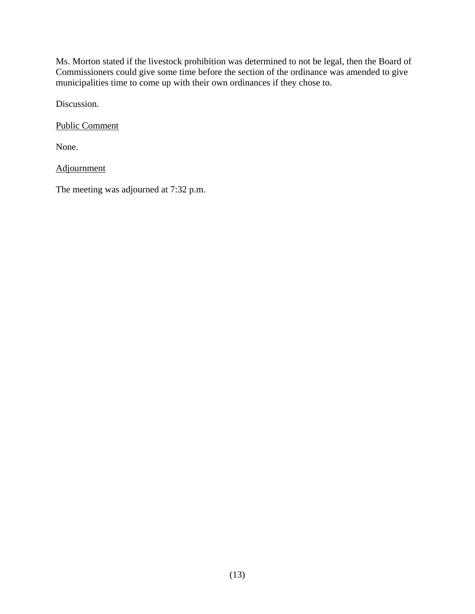Ms. Morton stated if the livestock prohibition was determined to not be legal, then the Board of Commissioners could give some time before the section of the ordinance was amended to give municipalities time to come up with their own ordinances if they chose to.

Discussion.

Public Comment

None.

Adjournment

The meeting was adjourned at 7:32 p.m.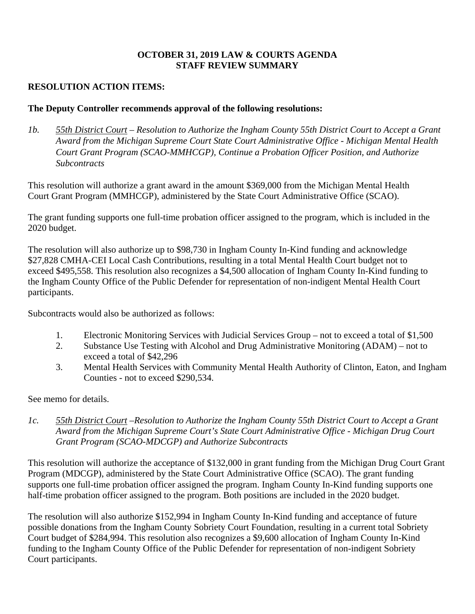## **OCTOBER 31, 2019 LAW & COURTS AGENDA STAFF REVIEW SUMMARY**

# **RESOLUTION ACTION ITEMS:**

## **The Deputy Controller recommends approval of the following resolutions:**

*1b. 55th District Court – Resolution to Authorize the Ingham County 55th District Court to Accept a Grant Award from the Michigan Supreme Court State Court Administrative Office - Michigan Mental Health Court Grant Program (SCAO-MMHCGP), Continue a Probation Officer Position, and Authorize Subcontracts* 

This resolution will authorize a grant award in the amount \$369,000 from the Michigan Mental Health Court Grant Program (MMHCGP), administered by the State Court Administrative Office (SCAO).

The grant funding supports one full-time probation officer assigned to the program, which is included in the 2020 budget.

The resolution will also authorize up to \$98,730 in Ingham County In-Kind funding and acknowledge \$27,828 CMHA-CEI Local Cash Contributions, resulting in a total Mental Health Court budget not to exceed \$495,558. This resolution also recognizes a \$4,500 allocation of Ingham County In-Kind funding to the Ingham County Office of the Public Defender for representation of non-indigent Mental Health Court participants.

Subcontracts would also be authorized as follows:

- 1. Electronic Monitoring Services with Judicial Services Group not to exceed a total of \$1,500
- 2. Substance Use Testing with Alcohol and Drug Administrative Monitoring (ADAM) not to exceed a total of \$42,296
- 3. Mental Health Services with Community Mental Health Authority of Clinton, Eaton, and Ingham Counties - not to exceed \$290,534.

See memo for details.

*1c. 55th District Court –Resolution to Authorize the Ingham County 55th District Court to Accept a Grant Award from the Michigan Supreme Court's State Court Administrative Office - Michigan Drug Court Grant Program (SCAO-MDCGP) and Authorize Subcontracts*

This resolution will authorize the acceptance of \$132,000 in grant funding from the Michigan Drug Court Grant Program (MDCGP), administered by the State Court Administrative Office (SCAO). The grant funding supports one full-time probation officer assigned the program. Ingham County In-Kind funding supports one half-time probation officer assigned to the program. Both positions are included in the 2020 budget.

The resolution will also authorize \$152,994 in Ingham County In-Kind funding and acceptance of future possible donations from the Ingham County Sobriety Court Foundation, resulting in a current total Sobriety Court budget of \$284,994. This resolution also recognizes a \$9,600 allocation of Ingham County In-Kind funding to the Ingham County Office of the Public Defender for representation of non-indigent Sobriety Court participants.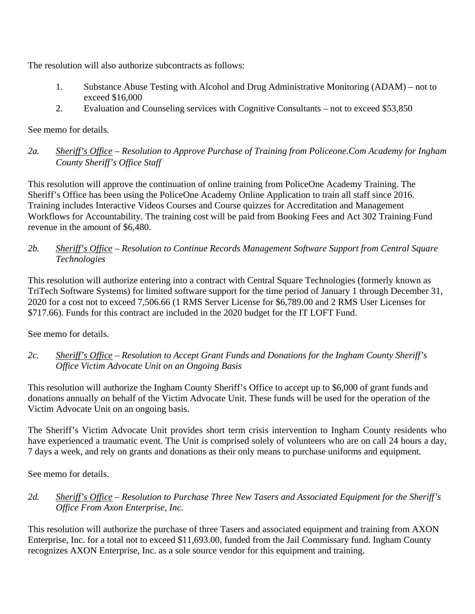The resolution will also authorize subcontracts as follows:

- 1. Substance Abuse Testing with Alcohol and Drug Administrative Monitoring (ADAM) not to exceed \$16,000
- 2. Evaluation and Counseling services with Cognitive Consultants not to exceed \$53,850

See memo for details.

*2a. Sheriff's Office – Resolution to Approve Purchase of Training from Policeone.Com Academy for Ingham County Sheriff's Office Staff* 

This resolution will approve the continuation of online training from PoliceOne Academy Training. The Sheriff's Office has been using the PoliceOne Academy Online Application to train all staff since 2016. Training includes Interactive Videos Courses and Course quizzes for Accreditation and Management Workflows for Accountability. The training cost will be paid from Booking Fees and Act 302 Training Fund revenue in the amount of \$6,480.

*2b. Sheriff's Office – Resolution to Continue Records Management Software Support from Central Square Technologies*

This resolution will authorize entering into a contract with Central Square Technologies (formerly known as TriTech Software Systems) for limited software support for the time period of January 1 through December 31, 2020 for a cost not to exceed 7,506.66 (1 RMS Server License for \$6,789.00 and 2 RMS User Licenses for \$717.66). Funds for this contract are included in the 2020 budget for the IT LOFT Fund.

See memo for details.

*2c. Sheriff's Office – Resolution to Accept Grant Funds and Donations for the Ingham County Sheriff's Office Victim Advocate Unit on an Ongoing Basis*

This resolution will authorize the Ingham County Sheriff's Office to accept up to \$6,000 of grant funds and donations annually on behalf of the Victim Advocate Unit. These funds will be used for the operation of the Victim Advocate Unit on an ongoing basis.

The Sheriff's Victim Advocate Unit provides short term crisis intervention to Ingham County residents who have experienced a traumatic event. The Unit is comprised solely of volunteers who are on call 24 hours a day, 7 days a week, and rely on grants and donations as their only means to purchase uniforms and equipment.

See memo for details.

*2d. Sheriff's Office – Resolution to Purchase Three New Tasers and Associated Equipment for the Sheriff's Office From Axon Enterprise, Inc.* 

This resolution will authorize the purchase of three Tasers and associated equipment and training from AXON Enterprise, Inc. for a total not to exceed \$11,693.00, funded from the Jail Commissary fund. Ingham County recognizes AXON Enterprise, Inc. as a sole source vendor for this equipment and training.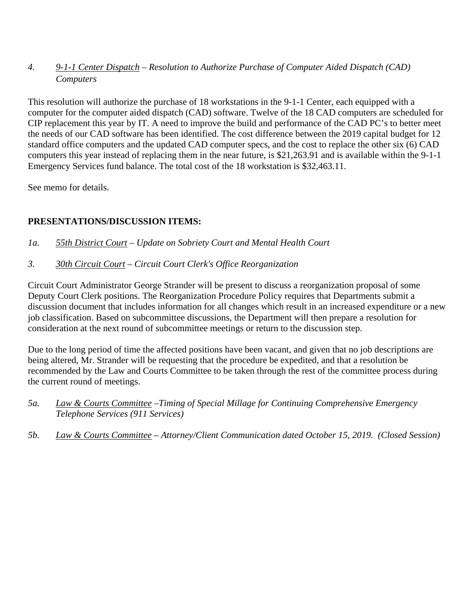# *4. 9-1-1 Center Dispatch – Resolution to Authorize Purchase of Computer Aided Dispatch (CAD) Computers*

This resolution will authorize the purchase of 18 workstations in the 9-1-1 Center, each equipped with a computer for the computer aided dispatch (CAD) software. Twelve of the 18 CAD computers are scheduled for CIP replacement this year by IT. A need to improve the build and performance of the CAD PC's to better meet the needs of our CAD software has been identified. The cost difference between the 2019 capital budget for 12 standard office computers and the updated CAD computer specs, and the cost to replace the other six (6) CAD computers this year instead of replacing them in the near future, is \$21,263.91 and is available within the 9-1-1 Emergency Services fund balance. The total cost of the 18 workstation is \$32,463.11.

See memo for details.

# **PRESENTATIONS/DISCUSSION ITEMS:**

*1a. 55th District Court – Update on Sobriety Court and Mental Health Court*

*3. 30th Circuit Court – Circuit Court Clerk's Office Reorganization* 

Circuit Court Administrator George Strander will be present to discuss a reorganization proposal of some Deputy Court Clerk positions. The Reorganization Procedure Policy requires that Departments submit a discussion document that includes information for all changes which result in an increased expenditure or a new job classification. Based on subcommittee discussions, the Department will then prepare a resolution for consideration at the next round of subcommittee meetings or return to the discussion step.

Due to the long period of time the affected positions have been vacant, and given that no job descriptions are being altered, Mr. Strander will be requesting that the procedure be expedited, and that a resolution be recommended by the Law and Courts Committee to be taken through the rest of the committee process during the current round of meetings.

- *5a. Law & Courts Committee –Timing of Special Millage for Continuing Comprehensive Emergency Telephone Services (911 Services)*
- *5b. Law & Courts Committee Attorney/Client Communication dated October 15, 2019. (Closed Session)*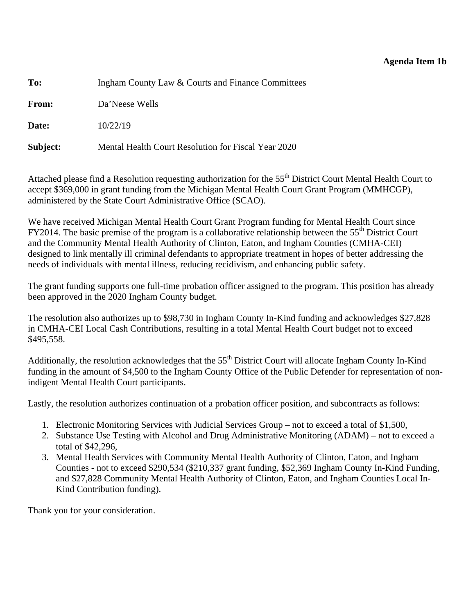## **Agenda Item 1b**

<span id="page-18-0"></span>

| To:          | Ingham County Law & Courts and Finance Committees   |  |  |
|--------------|-----------------------------------------------------|--|--|
| <b>From:</b> | Da'Neese Wells                                      |  |  |
| Date:        | 10/22/19                                            |  |  |
| Subject:     | Mental Health Court Resolution for Fiscal Year 2020 |  |  |

Attached please find a Resolution requesting authorization for the 55<sup>th</sup> District Court Mental Health Court to accept \$369,000 in grant funding from the Michigan Mental Health Court Grant Program (MMHCGP), administered by the State Court Administrative Office (SCAO).

We have received Michigan Mental Health Court Grant Program funding for Mental Health Court since  $FY2014$ . The basic premise of the program is a collaborative relationship between the  $55<sup>th</sup>$  District Court and the Community Mental Health Authority of Clinton, Eaton, and Ingham Counties (CMHA-CEI) designed to link mentally ill criminal defendants to appropriate treatment in hopes of better addressing the needs of individuals with mental illness, reducing recidivism, and enhancing public safety.

The grant funding supports one full-time probation officer assigned to the program. This position has already been approved in the 2020 Ingham County budget.

The resolution also authorizes up to \$98,730 in Ingham County In-Kind funding and acknowledges \$27,828 in CMHA-CEI Local Cash Contributions, resulting in a total Mental Health Court budget not to exceed \$495,558.

Additionally, the resolution acknowledges that the 55<sup>th</sup> District Court will allocate Ingham County In-Kind funding in the amount of \$4,500 to the Ingham County Office of the Public Defender for representation of nonindigent Mental Health Court participants.

Lastly, the resolution authorizes continuation of a probation officer position, and subcontracts as follows:

- 1. Electronic Monitoring Services with Judicial Services Group not to exceed a total of \$1,500,
- 2. Substance Use Testing with Alcohol and Drug Administrative Monitoring (ADAM) not to exceed a total of \$42,296,
- 3. Mental Health Services with Community Mental Health Authority of Clinton, Eaton, and Ingham Counties - not to exceed \$290,534 (\$210,337 grant funding, \$52,369 Ingham County In-Kind Funding, and \$27,828 Community Mental Health Authority of Clinton, Eaton, and Ingham Counties Local In-Kind Contribution funding).

Thank you for your consideration.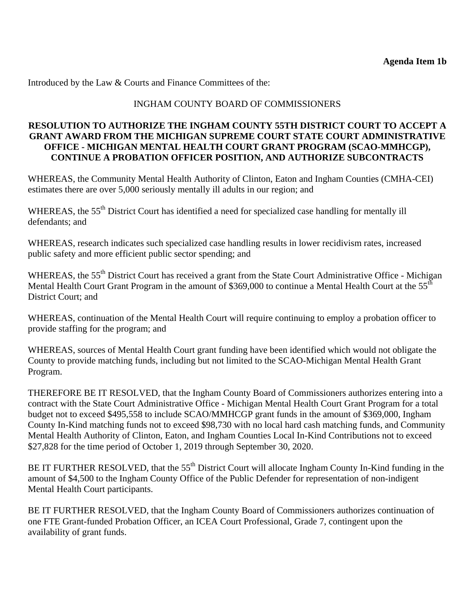Introduced by the Law & Courts and Finance Committees of the:

## INGHAM COUNTY BOARD OF COMMISSIONERS

## **RESOLUTION TO AUTHORIZE THE INGHAM COUNTY 55TH DISTRICT COURT TO ACCEPT A GRANT AWARD FROM THE MICHIGAN SUPREME COURT STATE COURT ADMINISTRATIVE OFFICE - MICHIGAN MENTAL HEALTH COURT GRANT PROGRAM (SCAO-MMHCGP), CONTINUE A PROBATION OFFICER POSITION, AND AUTHORIZE SUBCONTRACTS**

WHEREAS, the Community Mental Health Authority of Clinton, Eaton and Ingham Counties (CMHA-CEI) estimates there are over 5,000 seriously mentally ill adults in our region; and

WHEREAS, the 55<sup>th</sup> District Court has identified a need for specialized case handling for mentally ill defendants; and

WHEREAS, research indicates such specialized case handling results in lower recidivism rates, increased public safety and more efficient public sector spending; and

WHEREAS, the 55<sup>th</sup> District Court has received a grant from the State Court Administrative Office - Michigan Mental Health Court Grant Program in the amount of \$369,000 to continue a Mental Health Court at the 55<sup>th</sup> District Court; and

WHEREAS, continuation of the Mental Health Court will require continuing to employ a probation officer to provide staffing for the program; and

WHEREAS, sources of Mental Health Court grant funding have been identified which would not obligate the County to provide matching funds, including but not limited to the SCAO-Michigan Mental Health Grant Program.

THEREFORE BE IT RESOLVED, that the Ingham County Board of Commissioners authorizes entering into a contract with the State Court Administrative Office - Michigan Mental Health Court Grant Program for a total budget not to exceed \$495,558 to include SCAO/MMHCGP grant funds in the amount of \$369,000, Ingham County In-Kind matching funds not to exceed \$98,730 with no local hard cash matching funds, and Community Mental Health Authority of Clinton, Eaton, and Ingham Counties Local In-Kind Contributions not to exceed \$27,828 for the time period of October 1, 2019 through September 30, 2020.

BE IT FURTHER RESOLVED, that the 55<sup>th</sup> District Court will allocate Ingham County In-Kind funding in the amount of \$4,500 to the Ingham County Office of the Public Defender for representation of non-indigent Mental Health Court participants.

BE IT FURTHER RESOLVED, that the Ingham County Board of Commissioners authorizes continuation of one FTE Grant-funded Probation Officer, an ICEA Court Professional, Grade 7, contingent upon the availability of grant funds.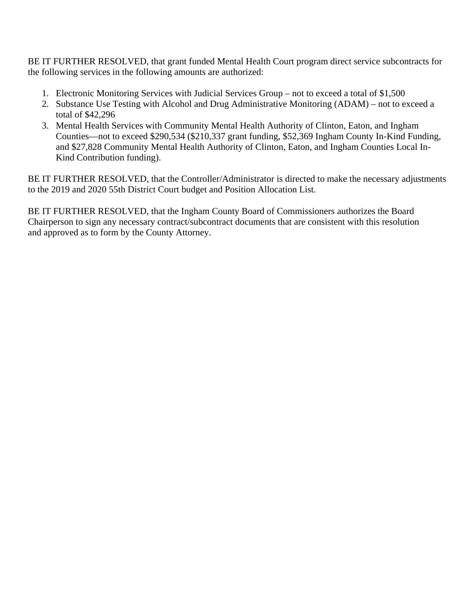BE IT FURTHER RESOLVED, that grant funded Mental Health Court program direct service subcontracts for the following services in the following amounts are authorized:

- 1. Electronic Monitoring Services with Judicial Services Group not to exceed a total of \$1,500
- 2. Substance Use Testing with Alcohol and Drug Administrative Monitoring (ADAM) not to exceed a total of \$42,296
- 3. Mental Health Services with Community Mental Health Authority of Clinton, Eaton, and Ingham Counties—not to exceed \$290,534 (\$210,337 grant funding, \$52,369 Ingham County In-Kind Funding, and \$27,828 Community Mental Health Authority of Clinton, Eaton, and Ingham Counties Local In-Kind Contribution funding).

BE IT FURTHER RESOLVED, that the Controller/Administrator is directed to make the necessary adjustments to the 2019 and 2020 55th District Court budget and Position Allocation List.

BE IT FURTHER RESOLVED, that the Ingham County Board of Commissioners authorizes the Board Chairperson to sign any necessary contract/subcontract documents that are consistent with this resolution and approved as to form by the County Attorney.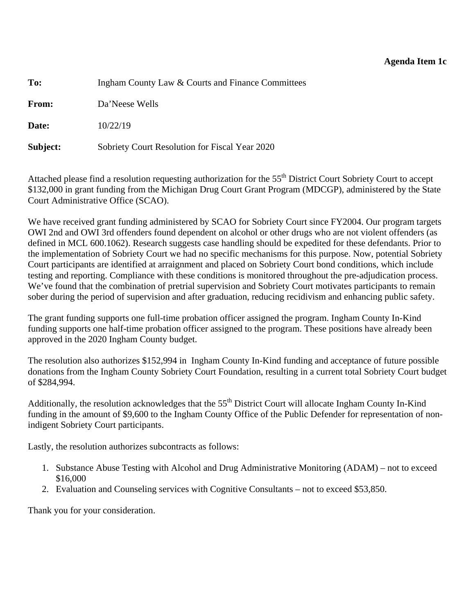<span id="page-21-0"></span>

| To:      | Ingham County Law & Courts and Finance Committees |
|----------|---------------------------------------------------|
| From:    | Da'Neese Wells                                    |
| Date:    | 10/22/19                                          |
| Subject: | Sobriety Court Resolution for Fiscal Year 2020    |

Attached please find a resolution requesting authorization for the 55<sup>th</sup> District Court Sobriety Court to accept \$132,000 in grant funding from the Michigan Drug Court Grant Program (MDCGP), administered by the State Court Administrative Office (SCAO).

We have received grant funding administered by SCAO for Sobriety Court since FY2004. Our program targets OWI 2nd and OWI 3rd offenders found dependent on alcohol or other drugs who are not violent offenders (as defined in MCL 600.1062). Research suggests case handling should be expedited for these defendants. Prior to the implementation of Sobriety Court we had no specific mechanisms for this purpose. Now, potential Sobriety Court participants are identified at arraignment and placed on Sobriety Court bond conditions, which include testing and reporting. Compliance with these conditions is monitored throughout the pre-adjudication process. We've found that the combination of pretrial supervision and Sobriety Court motivates participants to remain sober during the period of supervision and after graduation, reducing recidivism and enhancing public safety.

The grant funding supports one full-time probation officer assigned the program. Ingham County In-Kind funding supports one half-time probation officer assigned to the program. These positions have already been approved in the 2020 Ingham County budget.

The resolution also authorizes \$152,994 in Ingham County In-Kind funding and acceptance of future possible donations from the Ingham County Sobriety Court Foundation, resulting in a current total Sobriety Court budget of \$284,994.

Additionally, the resolution acknowledges that the 55<sup>th</sup> District Court will allocate Ingham County In-Kind funding in the amount of \$9,600 to the Ingham County Office of the Public Defender for representation of nonindigent Sobriety Court participants.

Lastly, the resolution authorizes subcontracts as follows:

- 1. Substance Abuse Testing with Alcohol and Drug Administrative Monitoring (ADAM) not to exceed \$16,000
- 2. Evaluation and Counseling services with Cognitive Consultants not to exceed \$53,850.

Thank you for your consideration.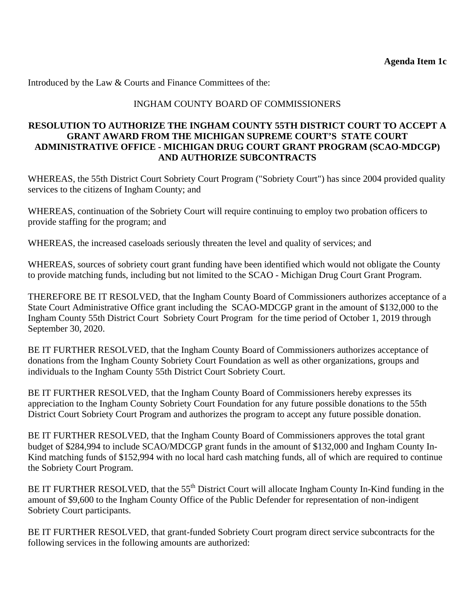Introduced by the Law & Courts and Finance Committees of the:

## INGHAM COUNTY BOARD OF COMMISSIONERS

## **RESOLUTION TO AUTHORIZE THE INGHAM COUNTY 55TH DISTRICT COURT TO ACCEPT A GRANT AWARD FROM THE MICHIGAN SUPREME COURT'S STATE COURT ADMINISTRATIVE OFFICE - MICHIGAN DRUG COURT GRANT PROGRAM (SCAO-MDCGP) AND AUTHORIZE SUBCONTRACTS**

WHEREAS, the 55th District Court Sobriety Court Program ("Sobriety Court") has since 2004 provided quality services to the citizens of Ingham County; and

WHEREAS, continuation of the Sobriety Court will require continuing to employ two probation officers to provide staffing for the program; and

WHEREAS, the increased caseloads seriously threaten the level and quality of services; and

WHEREAS, sources of sobriety court grant funding have been identified which would not obligate the County to provide matching funds, including but not limited to the SCAO - Michigan Drug Court Grant Program.

THEREFORE BE IT RESOLVED, that the Ingham County Board of Commissioners authorizes acceptance of a State Court Administrative Office grant including the SCAO-MDCGP grant in the amount of \$132,000 to the Ingham County 55th District Court Sobriety Court Program for the time period of October 1, 2019 through September 30, 2020.

BE IT FURTHER RESOLVED, that the Ingham County Board of Commissioners authorizes acceptance of donations from the Ingham County Sobriety Court Foundation as well as other organizations, groups and individuals to the Ingham County 55th District Court Sobriety Court.

BE IT FURTHER RESOLVED, that the Ingham County Board of Commissioners hereby expresses its appreciation to the Ingham County Sobriety Court Foundation for any future possible donations to the 55th District Court Sobriety Court Program and authorizes the program to accept any future possible donation.

BE IT FURTHER RESOLVED, that the Ingham County Board of Commissioners approves the total grant budget of \$284,994 to include SCAO/MDCGP grant funds in the amount of \$132,000 and Ingham County In-Kind matching funds of \$152,994 with no local hard cash matching funds, all of which are required to continue the Sobriety Court Program.

BE IT FURTHER RESOLVED, that the 55<sup>th</sup> District Court will allocate Ingham County In-Kind funding in the amount of \$9,600 to the Ingham County Office of the Public Defender for representation of non-indigent Sobriety Court participants.

BE IT FURTHER RESOLVED, that grant-funded Sobriety Court program direct service subcontracts for the following services in the following amounts are authorized: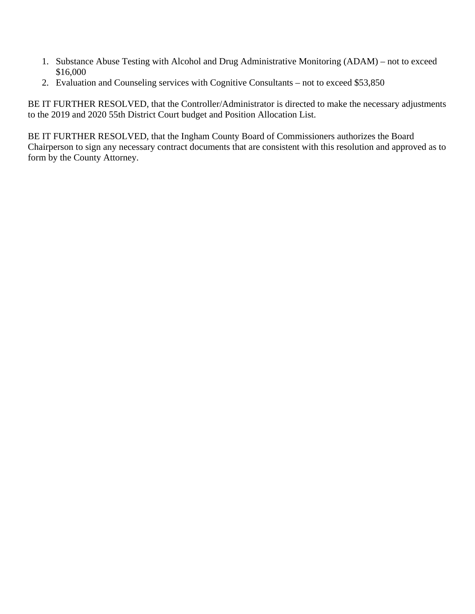- 1. Substance Abuse Testing with Alcohol and Drug Administrative Monitoring (ADAM) not to exceed \$16,000
- 2. Evaluation and Counseling services with Cognitive Consultants not to exceed \$53,850

BE IT FURTHER RESOLVED, that the Controller/Administrator is directed to make the necessary adjustments to the 2019 and 2020 55th District Court budget and Position Allocation List.

BE IT FURTHER RESOLVED, that the Ingham County Board of Commissioners authorizes the Board Chairperson to sign any necessary contract documents that are consistent with this resolution and approved as to form by the County Attorney.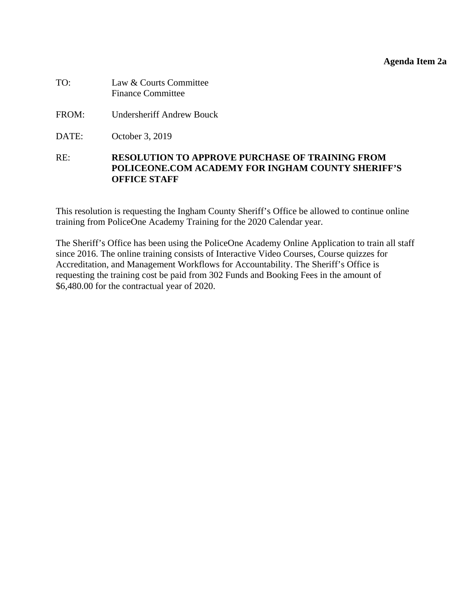### **Agenda Item 2a**

<span id="page-24-0"></span>

| TO: | Law & Courts Committee   |
|-----|--------------------------|
|     | <b>Finance Committee</b> |

- FROM: Undersheriff Andrew Bouck
- DATE: October 3, 2019

## RE: **RESOLUTION TO APPROVE PURCHASE OF TRAINING FROM POLICEONE.COM ACADEMY FOR INGHAM COUNTY SHERIFF'S OFFICE STAFF**

This resolution is requesting the Ingham County Sheriff's Office be allowed to continue online training from PoliceOne Academy Training for the 2020 Calendar year.

The Sheriff's Office has been using the PoliceOne Academy Online Application to train all staff since 2016. The online training consists of Interactive Video Courses, Course quizzes for Accreditation, and Management Workflows for Accountability. The Sheriff's Office is requesting the training cost be paid from 302 Funds and Booking Fees in the amount of \$6,480.00 for the contractual year of 2020.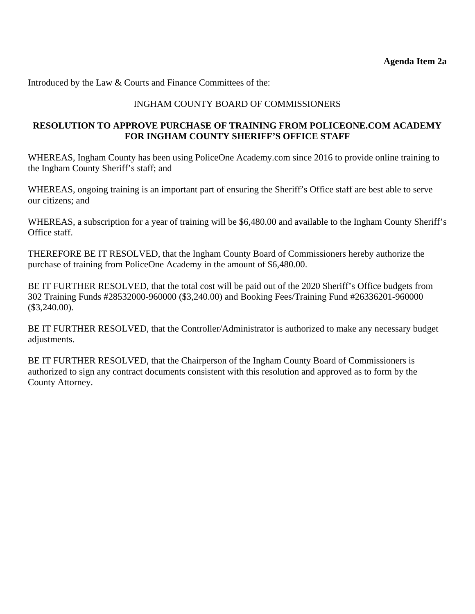Introduced by the Law & Courts and Finance Committees of the:

## INGHAM COUNTY BOARD OF COMMISSIONERS

## **RESOLUTION TO APPROVE PURCHASE OF TRAINING FROM POLICEONE.COM ACADEMY FOR INGHAM COUNTY SHERIFF'S OFFICE STAFF**

WHEREAS, Ingham County has been using PoliceOne Academy.com since 2016 to provide online training to the Ingham County Sheriff's staff; and

WHEREAS, ongoing training is an important part of ensuring the Sheriff's Office staff are best able to serve our citizens; and

WHEREAS, a subscription for a year of training will be \$6,480.00 and available to the Ingham County Sheriff's Office staff.

THEREFORE BE IT RESOLVED, that the Ingham County Board of Commissioners hereby authorize the purchase of training from PoliceOne Academy in the amount of \$6,480.00.

BE IT FURTHER RESOLVED, that the total cost will be paid out of the 2020 Sheriff's Office budgets from 302 Training Funds #28532000-960000 (\$3,240.00) and Booking Fees/Training Fund #26336201-960000 (\$3,240.00).

BE IT FURTHER RESOLVED, that the Controller/Administrator is authorized to make any necessary budget adjustments.

BE IT FURTHER RESOLVED, that the Chairperson of the Ingham County Board of Commissioners is authorized to sign any contract documents consistent with this resolution and approved as to form by the County Attorney.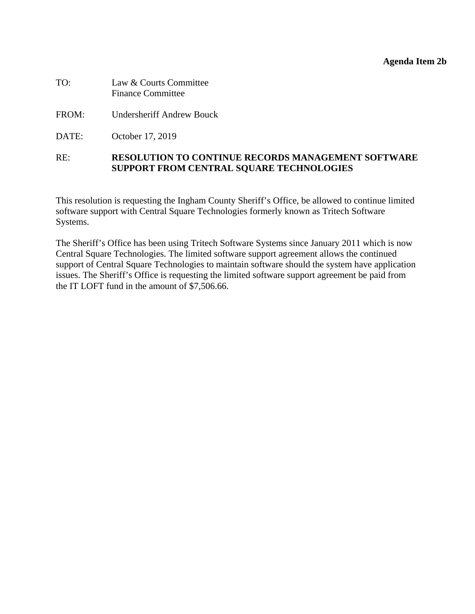### **Agenda Item 2b**

<span id="page-26-0"></span>

| TO: | Law & Courts Committee   |
|-----|--------------------------|
|     | <b>Finance Committee</b> |

- FROM: Undersheriff Andrew Bouck
- DATE: October 17, 2019

## RE: **RESOLUTION TO CONTINUE RECORDS MANAGEMENT SOFTWARE SUPPORT FROM CENTRAL SQUARE TECHNOLOGIES**

This resolution is requesting the Ingham County Sheriff's Office, be allowed to continue limited software support with Central Square Technologies formerly known as Tritech Software Systems.

The Sheriff's Office has been using Tritech Software Systems since January 2011 which is now Central Square Technologies. The limited software support agreement allows the continued support of Central Square Technologies to maintain software should the system have application issues. The Sheriff's Office is requesting the limited software support agreement be paid from the IT LOFT fund in the amount of \$7,506.66.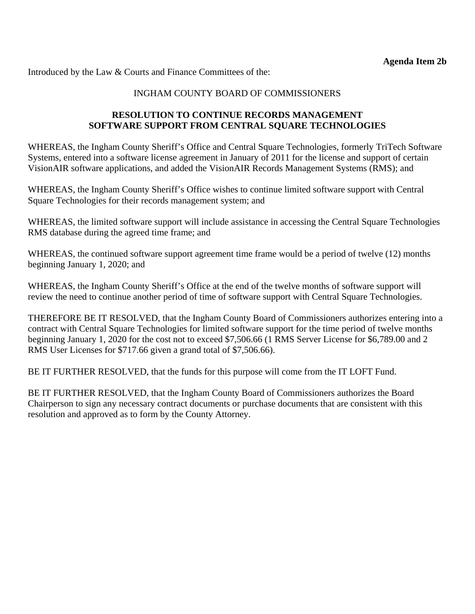Introduced by the Law & Courts and Finance Committees of the:

## INGHAM COUNTY BOARD OF COMMISSIONERS

## **RESOLUTION TO CONTINUE RECORDS MANAGEMENT SOFTWARE SUPPORT FROM CENTRAL SQUARE TECHNOLOGIES**

WHEREAS, the Ingham County Sheriff's Office and Central Square Technologies, formerly TriTech Software Systems, entered into a software license agreement in January of 2011 for the license and support of certain VisionAIR software applications, and added the VisionAIR Records Management Systems (RMS); and

WHEREAS, the Ingham County Sheriff's Office wishes to continue limited software support with Central Square Technologies for their records management system; and

WHEREAS, the limited software support will include assistance in accessing the Central Square Technologies RMS database during the agreed time frame; and

WHEREAS, the continued software support agreement time frame would be a period of twelve (12) months beginning January 1, 2020; and

WHEREAS, the Ingham County Sheriff's Office at the end of the twelve months of software support will review the need to continue another period of time of software support with Central Square Technologies.

THEREFORE BE IT RESOLVED, that the Ingham County Board of Commissioners authorizes entering into a contract with Central Square Technologies for limited software support for the time period of twelve months beginning January 1, 2020 for the cost not to exceed \$7,506.66 (1 RMS Server License for \$6,789.00 and 2 RMS User Licenses for \$717.66 given a grand total of \$7,506.66).

BE IT FURTHER RESOLVED, that the funds for this purpose will come from the IT LOFT Fund.

BE IT FURTHER RESOLVED, that the Ingham County Board of Commissioners authorizes the Board Chairperson to sign any necessary contract documents or purchase documents that are consistent with this resolution and approved as to form by the County Attorney.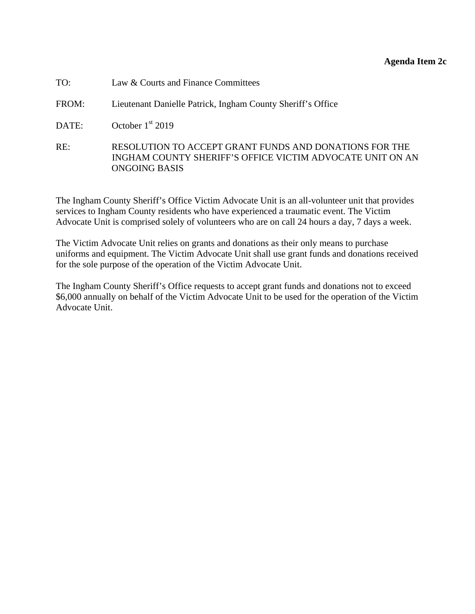### **Agenda Item 2c**

<span id="page-28-0"></span>

| TO: | Law & Courts and Finance Committees |  |
|-----|-------------------------------------|--|
|-----|-------------------------------------|--|

FROM: Lieutenant Danielle Patrick, Ingham County Sheriff's Office

DATE: October 1<sup>st</sup> 2019

RE: RESOLUTION TO ACCEPT GRANT FUNDS AND DONATIONS FOR THE INGHAM COUNTY SHERIFF'S OFFICE VICTIM ADVOCATE UNIT ON AN ONGOING BASIS

The Ingham County Sheriff's Office Victim Advocate Unit is an all-volunteer unit that provides services to Ingham County residents who have experienced a traumatic event. The Victim Advocate Unit is comprised solely of volunteers who are on call 24 hours a day, 7 days a week.

The Victim Advocate Unit relies on grants and donations as their only means to purchase uniforms and equipment. The Victim Advocate Unit shall use grant funds and donations received for the sole purpose of the operation of the Victim Advocate Unit.

The Ingham County Sheriff's Office requests to accept grant funds and donations not to exceed \$6,000 annually on behalf of the Victim Advocate Unit to be used for the operation of the Victim Advocate Unit.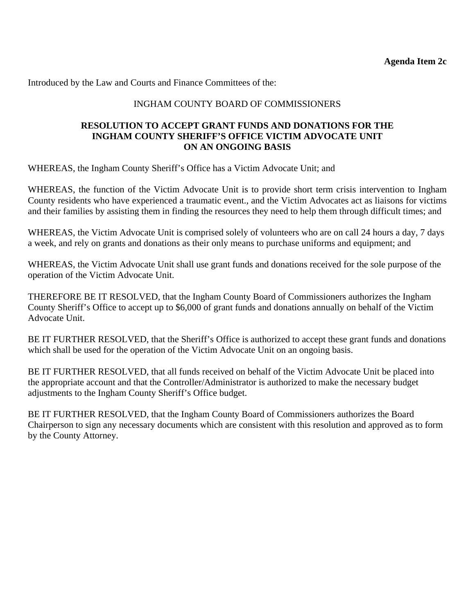Introduced by the Law and Courts and Finance Committees of the:

## INGHAM COUNTY BOARD OF COMMISSIONERS

### **RESOLUTION TO ACCEPT GRANT FUNDS AND DONATIONS FOR THE INGHAM COUNTY SHERIFF'S OFFICE VICTIM ADVOCATE UNIT ON AN ONGOING BASIS**

WHEREAS, the Ingham County Sheriff's Office has a Victim Advocate Unit; and

WHEREAS, the function of the Victim Advocate Unit is to provide short term crisis intervention to Ingham County residents who have experienced a traumatic event., and the Victim Advocates act as liaisons for victims and their families by assisting them in finding the resources they need to help them through difficult times; and

WHEREAS, the Victim Advocate Unit is comprised solely of volunteers who are on call 24 hours a day, 7 days a week, and rely on grants and donations as their only means to purchase uniforms and equipment; and

WHEREAS, the Victim Advocate Unit shall use grant funds and donations received for the sole purpose of the operation of the Victim Advocate Unit.

THEREFORE BE IT RESOLVED, that the Ingham County Board of Commissioners authorizes the Ingham County Sheriff's Office to accept up to \$6,000 of grant funds and donations annually on behalf of the Victim Advocate Unit.

BE IT FURTHER RESOLVED, that the Sheriff's Office is authorized to accept these grant funds and donations which shall be used for the operation of the Victim Advocate Unit on an ongoing basis.

BE IT FURTHER RESOLVED, that all funds received on behalf of the Victim Advocate Unit be placed into the appropriate account and that the Controller/Administrator is authorized to make the necessary budget adjustments to the Ingham County Sheriff's Office budget.

BE IT FURTHER RESOLVED, that the Ingham County Board of Commissioners authorizes the Board Chairperson to sign any necessary documents which are consistent with this resolution and approved as to form by the County Attorney.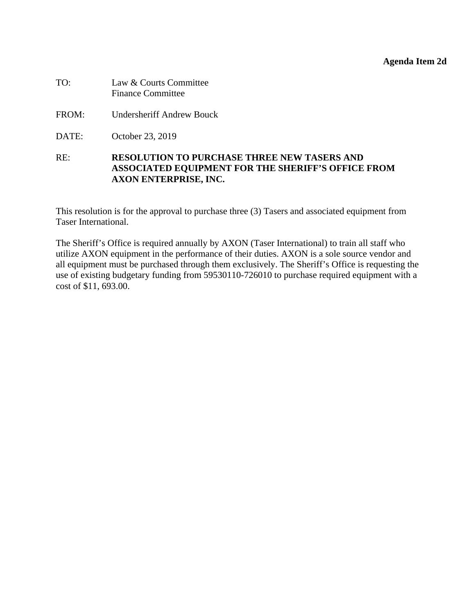### **Agenda Item 2d**

<span id="page-30-0"></span>

| TO: | Law & Courts Committee   |
|-----|--------------------------|
|     | <b>Finance Committee</b> |

- FROM: Undersheriff Andrew Bouck
- DATE: October 23, 2019

## RE: **RESOLUTION TO PURCHASE THREE NEW TASERS AND ASSOCIATED EQUIPMENT FOR THE SHERIFF'S OFFICE FROM AXON ENTERPRISE, INC.**

This resolution is for the approval to purchase three (3) Tasers and associated equipment from Taser International.

The Sheriff's Office is required annually by AXON (Taser International) to train all staff who utilize AXON equipment in the performance of their duties. AXON is a sole source vendor and all equipment must be purchased through them exclusively. The Sheriff's Office is requesting the use of existing budgetary funding from 59530110-726010 to purchase required equipment with a cost of \$11, 693.00.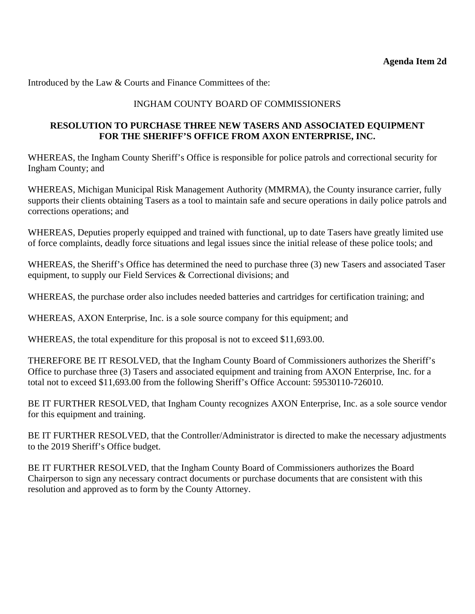Introduced by the Law & Courts and Finance Committees of the:

# INGHAM COUNTY BOARD OF COMMISSIONERS

## **RESOLUTION TO PURCHASE THREE NEW TASERS AND ASSOCIATED EQUIPMENT FOR THE SHERIFF'S OFFICE FROM AXON ENTERPRISE, INC.**

WHEREAS, the Ingham County Sheriff's Office is responsible for police patrols and correctional security for Ingham County; and

WHEREAS, Michigan Municipal Risk Management Authority (MMRMA), the County insurance carrier, fully supports their clients obtaining Tasers as a tool to maintain safe and secure operations in daily police patrols and corrections operations; and

WHEREAS, Deputies properly equipped and trained with functional, up to date Tasers have greatly limited use of force complaints, deadly force situations and legal issues since the initial release of these police tools; and

WHEREAS, the Sheriff's Office has determined the need to purchase three (3) new Tasers and associated Taser equipment, to supply our Field Services & Correctional divisions; and

WHEREAS, the purchase order also includes needed batteries and cartridges for certification training; and

WHEREAS, AXON Enterprise, Inc. is a sole source company for this equipment; and

WHEREAS, the total expenditure for this proposal is not to exceed \$11,693.00.

THEREFORE BE IT RESOLVED, that the Ingham County Board of Commissioners authorizes the Sheriff's Office to purchase three (3) Tasers and associated equipment and training from AXON Enterprise, Inc. for a total not to exceed \$11,693.00 from the following Sheriff's Office Account: 59530110-726010.

BE IT FURTHER RESOLVED, that Ingham County recognizes AXON Enterprise, Inc. as a sole source vendor for this equipment and training.

BE IT FURTHER RESOLVED, that the Controller/Administrator is directed to make the necessary adjustments to the 2019 Sheriff's Office budget.

BE IT FURTHER RESOLVED, that the Ingham County Board of Commissioners authorizes the Board Chairperson to sign any necessary contract documents or purchase documents that are consistent with this resolution and approved as to form by the County Attorney.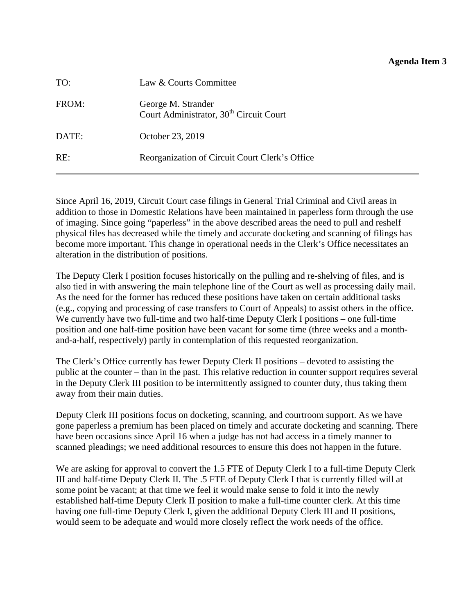### **Agenda Item 3**

<span id="page-32-0"></span>

| TO:   | Law & Courts Committee                                                    |
|-------|---------------------------------------------------------------------------|
| FROM: | George M. Strander<br>Court Administrator, 30 <sup>th</sup> Circuit Court |
| DATE: | October 23, 2019                                                          |
| RE:   | Reorganization of Circuit Court Clerk's Office                            |

Since April 16, 2019, Circuit Court case filings in General Trial Criminal and Civil areas in addition to those in Domestic Relations have been maintained in paperless form through the use of imaging. Since going "paperless" in the above described areas the need to pull and reshelf physical files has decreased while the timely and accurate docketing and scanning of filings has become more important. This change in operational needs in the Clerk's Office necessitates an alteration in the distribution of positions.

The Deputy Clerk I position focuses historically on the pulling and re-shelving of files, and is also tied in with answering the main telephone line of the Court as well as processing daily mail. As the need for the former has reduced these positions have taken on certain additional tasks (e.g., copying and processing of case transfers to Court of Appeals) to assist others in the office. We currently have two full-time and two half-time Deputy Clerk I positions – one full-time position and one half-time position have been vacant for some time (three weeks and a monthand-a-half, respectively) partly in contemplation of this requested reorganization.

The Clerk's Office currently has fewer Deputy Clerk II positions – devoted to assisting the public at the counter – than in the past. This relative reduction in counter support requires several in the Deputy Clerk III position to be intermittently assigned to counter duty, thus taking them away from their main duties.

Deputy Clerk III positions focus on docketing, scanning, and courtroom support. As we have gone paperless a premium has been placed on timely and accurate docketing and scanning. There have been occasions since April 16 when a judge has not had access in a timely manner to scanned pleadings; we need additional resources to ensure this does not happen in the future.

We are asking for approval to convert the 1.5 FTE of Deputy Clerk I to a full-time Deputy Clerk III and half-time Deputy Clerk II. The .5 FTE of Deputy Clerk I that is currently filled will at some point be vacant; at that time we feel it would make sense to fold it into the newly established half-time Deputy Clerk II position to make a full-time counter clerk. At this time having one full-time Deputy Clerk I, given the additional Deputy Clerk III and II positions, would seem to be adequate and would more closely reflect the work needs of the office.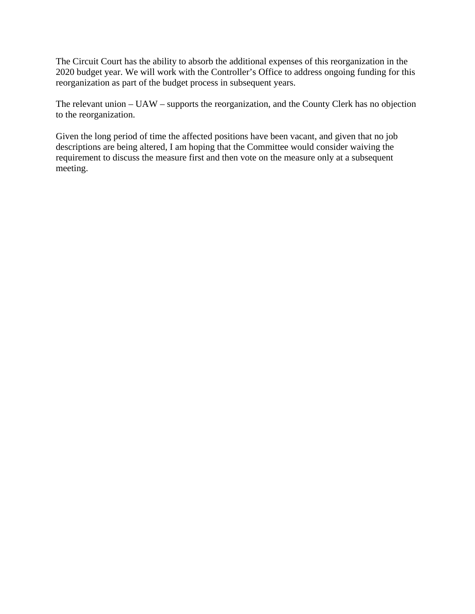The Circuit Court has the ability to absorb the additional expenses of this reorganization in the 2020 budget year. We will work with the Controller's Office to address ongoing funding for this reorganization as part of the budget process in subsequent years.

The relevant union – UAW – supports the reorganization, and the County Clerk has no objection to the reorganization.

Given the long period of time the affected positions have been vacant, and given that no job descriptions are being altered, I am hoping that the Committee would consider waiving the requirement to discuss the measure first and then vote on the measure only at a subsequent meeting.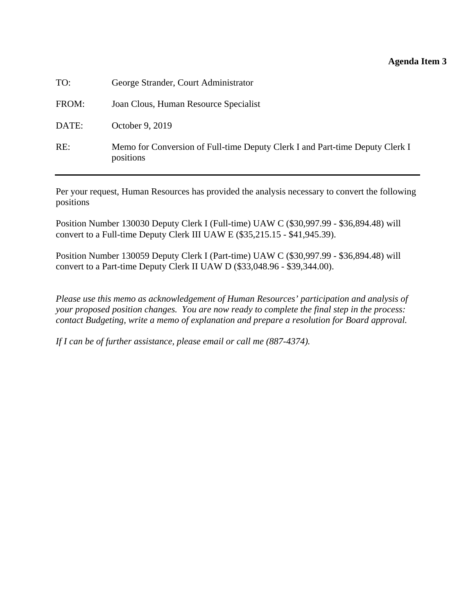### **Agenda Item 3**

| TO:   | George Strander, Court Administrator                                                      |
|-------|-------------------------------------------------------------------------------------------|
| FROM: | Joan Clous, Human Resource Specialist                                                     |
| DATE: | October 9, 2019                                                                           |
| RE:   | Memo for Conversion of Full-time Deputy Clerk I and Part-time Deputy Clerk I<br>positions |

Per your request, Human Resources has provided the analysis necessary to convert the following positions

Position Number 130030 Deputy Clerk I (Full-time) UAW C (\$30,997.99 - \$36,894.48) will convert to a Full-time Deputy Clerk III UAW E (\$35,215.15 - \$41,945.39).

Position Number 130059 Deputy Clerk I (Part-time) UAW C (\$30,997.99 - \$36,894.48) will convert to a Part-time Deputy Clerk II UAW D (\$33,048.96 - \$39,344.00).

*Please use this memo as acknowledgement of Human Resources' participation and analysis of your proposed position changes. You are now ready to complete the final step in the process: contact Budgeting, write a memo of explanation and prepare a resolution for Board approval.* 

*If I can be of further assistance, please email or call me (887-4374).*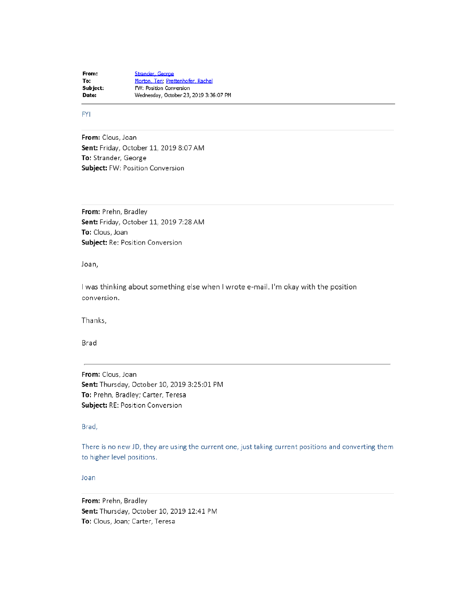Strander, George From: Morton, Teri; Prettenhofer, Rachel To: Subject: FW: Position Conversion Date: Wednesday, October 23, 2019 3:36:07 PM

**FYI** 

From: Clous, Joan Sent: Friday, October 11, 2019 8:07 AM To: Strander, George **Subject: FW: Position Conversion** 

From: Prehn, Bradley Sent: Friday, October 11, 2019 7:28 AM To: Clous, Joan Subject: Re: Position Conversion

Joan,

I was thinking about something else when I wrote e-mail. I'm okay with the position conversion.

Thanks,

Brad

From: Clous, Joan Sent: Thursday, October 10, 2019 3:25:01 PM To: Prehn, Bradley; Carter, Teresa Subject: RE: Position Conversion

#### Brad,

There is no new JD, they are using the current one, just taking current positions and converting them to higher level positions.

Joan

From: Prehn, Bradley Sent: Thursday, October 10, 2019 12:41 PM To: Clous, Joan; Carter, Teresa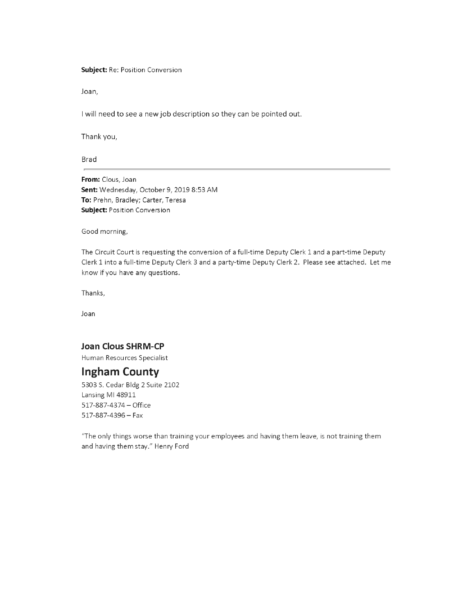Subject: Re: Position Conversion

Joan,

I will need to see a new job description so they can be pointed out.

Thank you,

**Brad** 

From: Clous, Joan Sent: Wednesday, October 9, 2019 8:53 AM To: Prehn, Bradley; Carter, Teresa Subject: Position Conversion

Good morning,

The Circuit Court is requesting the conversion of a full-time Deputy Clerk 1 and a part-time Deputy Clerk 1 into a full-time Deputy Clerk 3 and a party-time Deputy Clerk 2. Please see attached. Let me know if you have any questions.

Thanks,

Joan

#### **Joan Clous SHRM-CP**

Human Resources Specialist

# **Ingham County**

5303 S. Cedar Bldg 2 Suite 2102 Lansing MI 48911 517-887-4374 - Office  $517-887-4396 - Fax$ 

"The only things worse than training your employees and having them leave, is not training them and having them stay." Henry Ford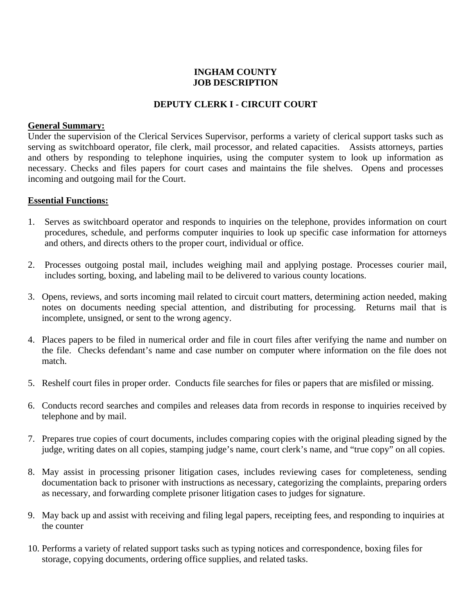# **INGHAM COUNTY JOB DESCRIPTION**

## **DEPUTY CLERK I - CIRCUIT COURT**

## **General Summary:**

Under the supervision of the Clerical Services Supervisor, performs a variety of clerical support tasks such as serving as switchboard operator, file clerk, mail processor, and related capacities. Assists attorneys, parties and others by responding to telephone inquiries, using the computer system to look up information as necessary. Checks and files papers for court cases and maintains the file shelves. Opens and processes incoming and outgoing mail for the Court.

## **Essential Functions:**

- 1. Serves as switchboard operator and responds to inquiries on the telephone, provides information on court procedures, schedule, and performs computer inquiries to look up specific case information for attorneys and others, and directs others to the proper court, individual or office.
- 2. Processes outgoing postal mail, includes weighing mail and applying postage. Processes courier mail, includes sorting, boxing, and labeling mail to be delivered to various county locations.
- 3. Opens, reviews, and sorts incoming mail related to circuit court matters, determining action needed, making notes on documents needing special attention, and distributing for processing. Returns mail that is incomplete, unsigned, or sent to the wrong agency.
- 4. Places papers to be filed in numerical order and file in court files after verifying the name and number on the file. Checks defendant's name and case number on computer where information on the file does not match.
- 5. Reshelf court files in proper order. Conducts file searches for files or papers that are misfiled or missing.
- 6. Conducts record searches and compiles and releases data from records in response to inquiries received by telephone and by mail.
- 7. Prepares true copies of court documents, includes comparing copies with the original pleading signed by the judge, writing dates on all copies, stamping judge's name, court clerk's name, and "true copy" on all copies.
- 8. May assist in processing prisoner litigation cases, includes reviewing cases for completeness, sending documentation back to prisoner with instructions as necessary, categorizing the complaints, preparing orders as necessary, and forwarding complete prisoner litigation cases to judges for signature.
- 9. May back up and assist with receiving and filing legal papers, receipting fees, and responding to inquiries at the counter
- 10. Performs a variety of related support tasks such as typing notices and correspondence, boxing files for storage, copying documents, ordering office supplies, and related tasks.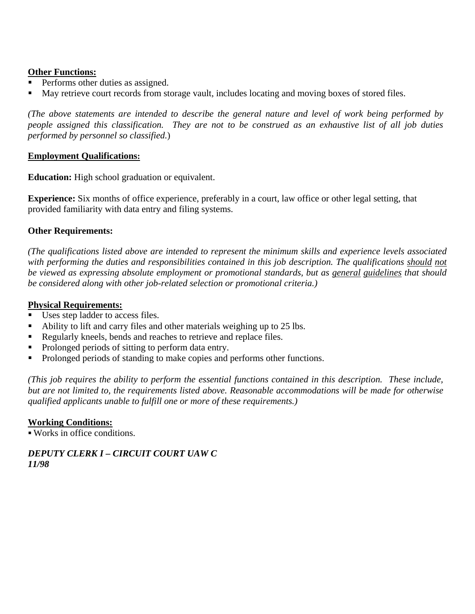## **Other Functions:**

- Performs other duties as assigned.
- May retrieve court records from storage vault, includes locating and moving boxes of stored files.

*(The above statements are intended to describe the general nature and level of work being performed by people assigned this classification. They are not to be construed as an exhaustive list of all job duties performed by personnel so classified.*)

### **Employment Qualifications:**

**Education:** High school graduation or equivalent.

**Experience:** Six months of office experience, preferably in a court, law office or other legal setting, that provided familiarity with data entry and filing systems.

## **Other Requirements:**

*(The qualifications listed above are intended to represent the minimum skills and experience levels associated*  with performing the duties and responsibilities contained in this job description. The qualifications should not *be viewed as expressing absolute employment or promotional standards, but as general guidelines that should be considered along with other job-related selection or promotional criteria.)*

## **Physical Requirements:**

- Uses step ladder to access files.
- Ability to lift and carry files and other materials weighing up to 25 lbs.
- Regularly kneels, bends and reaches to retrieve and replace files.
- Prolonged periods of sitting to perform data entry.
- Prolonged periods of standing to make copies and performs other functions.

*(This job requires the ability to perform the essential functions contained in this description. These include, but are not limited to, the requirements listed above. Reasonable accommodations will be made for otherwise qualified applicants unable to fulfill one or more of these requirements.)*

### **Working Conditions:**

Works in office conditions.

## *DEPUTY CLERK I – CIRCUIT COURT UAW C 11/98*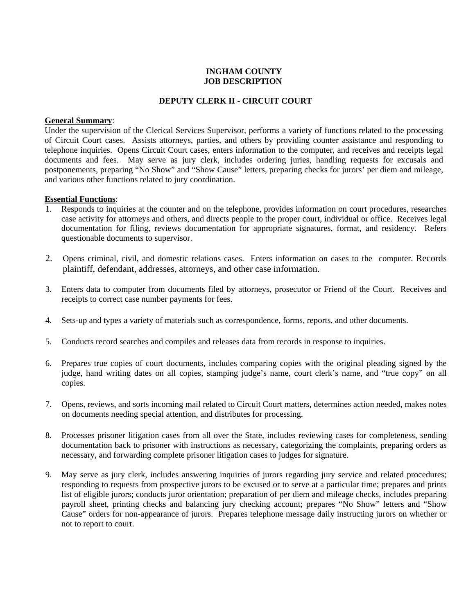### **INGHAM COUNTY JOB DESCRIPTION**

#### **DEPUTY CLERK II - CIRCUIT COURT**

#### **General Summary**:

Under the supervision of the Clerical Services Supervisor, performs a variety of functions related to the processing of Circuit Court cases. Assists attorneys, parties, and others by providing counter assistance and responding to telephone inquiries. Opens Circuit Court cases, enters information to the computer, and receives and receipts legal documents and fees. May serve as jury clerk, includes ordering juries, handling requests for excusals and postponements, preparing "No Show" and "Show Cause" letters, preparing checks for jurors' per diem and mileage, and various other functions related to jury coordination.

#### **Essential Functions**:

- 1. Responds to inquiries at the counter and on the telephone, provides information on court procedures, researches case activity for attorneys and others, and directs people to the proper court, individual or office. Receives legal documentation for filing, reviews documentation for appropriate signatures, format, and residency. Refers questionable documents to supervisor.
- 2. Opens criminal, civil, and domestic relations cases. Enters information on cases to the computer. Records plaintiff, defendant, addresses, attorneys, and other case information.
- 3. Enters data to computer from documents filed by attorneys, prosecutor or Friend of the Court. Receives and receipts to correct case number payments for fees.
- 4. Sets-up and types a variety of materials such as correspondence, forms, reports, and other documents.
- 5. Conducts record searches and compiles and releases data from records in response to inquiries.
- 6. Prepares true copies of court documents, includes comparing copies with the original pleading signed by the judge, hand writing dates on all copies, stamping judge's name, court clerk's name, and "true copy" on all copies.
- 7. Opens, reviews, and sorts incoming mail related to Circuit Court matters, determines action needed, makes notes on documents needing special attention, and distributes for processing.
- 8. Processes prisoner litigation cases from all over the State, includes reviewing cases for completeness, sending documentation back to prisoner with instructions as necessary, categorizing the complaints, preparing orders as necessary, and forwarding complete prisoner litigation cases to judges for signature.
- 9. May serve as jury clerk, includes answering inquiries of jurors regarding jury service and related procedures; responding to requests from prospective jurors to be excused or to serve at a particular time; prepares and prints list of eligible jurors; conducts juror orientation; preparation of per diem and mileage checks, includes preparing payroll sheet, printing checks and balancing jury checking account; prepares "No Show" letters and "Show Cause" orders for non-appearance of jurors. Prepares telephone message daily instructing jurors on whether or not to report to court.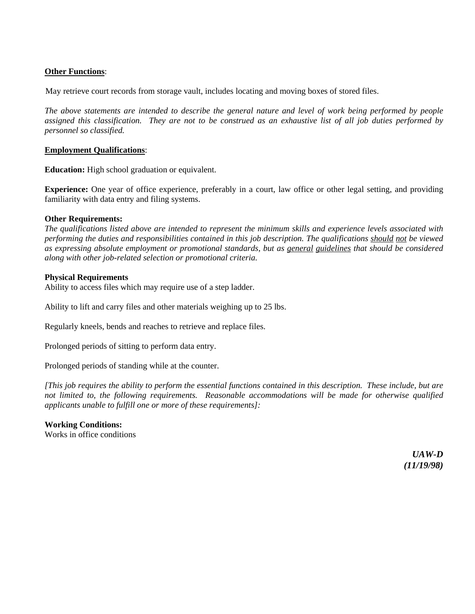#### **Other Functions**:

May retrieve court records from storage vault, includes locating and moving boxes of stored files.

*The above statements are intended to describe the general nature and level of work being performed by people assigned this classification. They are not to be construed as an exhaustive list of all job duties performed by personnel so classified.*

#### **Employment Qualifications**:

**Education:** High school graduation or equivalent.

**Experience:** One year of office experience, preferably in a court, law office or other legal setting, and providing familiarity with data entry and filing systems.

#### **Other Requirements:**

*The qualifications listed above are intended to represent the minimum skills and experience levels associated with performing the duties and responsibilities contained in this job description. The qualifications should not be viewed as expressing absolute employment or promotional standards, but as general guidelines that should be considered along with other job-related selection or promotional criteria.*

#### **Physical Requirements**

Ability to access files which may require use of a step ladder.

Ability to lift and carry files and other materials weighing up to 25 lbs.

Regularly kneels, bends and reaches to retrieve and replace files.

Prolonged periods of sitting to perform data entry.

Prolonged periods of standing while at the counter.

*[This job requires the ability to perform the essential functions contained in this description. These include, but are not limited to, the following requirements. Reasonable accommodations will be made for otherwise qualified applicants unable to fulfill one or more of these requirements]:*

#### **Working Conditions:**

Works in office conditions

*UAW-D (11/19/98)*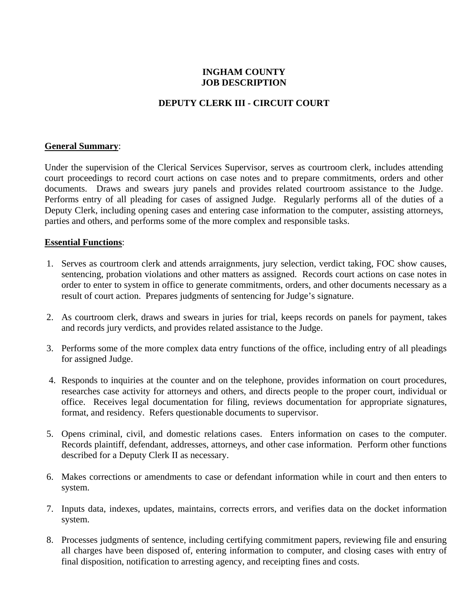# **INGHAM COUNTY JOB DESCRIPTION**

## **DEPUTY CLERK III - CIRCUIT COURT**

### **General Summary**:

Under the supervision of the Clerical Services Supervisor, serves as courtroom clerk, includes attending court proceedings to record court actions on case notes and to prepare commitments, orders and other documents. Draws and swears jury panels and provides related courtroom assistance to the Judge. Performs entry of all pleading for cases of assigned Judge. Regularly performs all of the duties of a Deputy Clerk, including opening cases and entering case information to the computer, assisting attorneys, parties and others, and performs some of the more complex and responsible tasks.

### **Essential Functions**:

- 1. Serves as courtroom clerk and attends arraignments, jury selection, verdict taking, FOC show causes, sentencing, probation violations and other matters as assigned. Records court actions on case notes in order to enter to system in office to generate commitments, orders, and other documents necessary as a result of court action. Prepares judgments of sentencing for Judge's signature.
- 2. As courtroom clerk, draws and swears in juries for trial, keeps records on panels for payment, takes and records jury verdicts, and provides related assistance to the Judge.
- 3. Performs some of the more complex data entry functions of the office, including entry of all pleadings for assigned Judge.
- 4. Responds to inquiries at the counter and on the telephone, provides information on court procedures, researches case activity for attorneys and others, and directs people to the proper court, individual or office. Receives legal documentation for filing, reviews documentation for appropriate signatures, format, and residency. Refers questionable documents to supervisor.
- 5. Opens criminal, civil, and domestic relations cases. Enters information on cases to the computer. Records plaintiff, defendant, addresses, attorneys, and other case information. Perform other functions described for a Deputy Clerk II as necessary.
- 6. Makes corrections or amendments to case or defendant information while in court and then enters to system.
- 7. Inputs data, indexes, updates, maintains, corrects errors, and verifies data on the docket information system.
- 8. Processes judgments of sentence, including certifying commitment papers, reviewing file and ensuring all charges have been disposed of, entering information to computer, and closing cases with entry of final disposition, notification to arresting agency, and receipting fines and costs.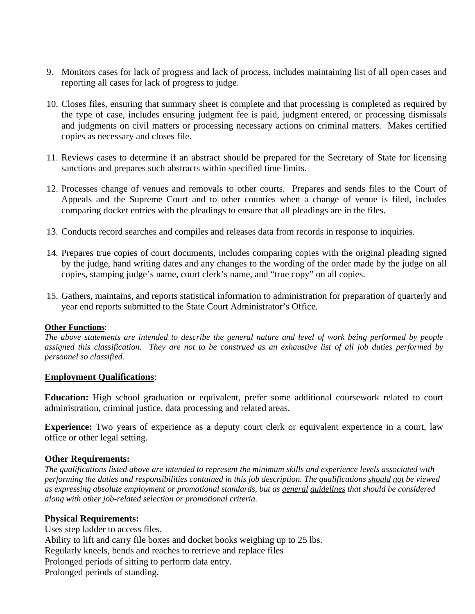- 9. Monitors cases for lack of progress and lack of process, includes maintaining list of all open cases and reporting all cases for lack of progress to judge.
- 10. Closes files, ensuring that summary sheet is complete and that processing is completed as required by the type of case, includes ensuring judgment fee is paid, judgment entered, or processing dismissals and judgments on civil matters or processing necessary actions on criminal matters. Makes certified copies as necessary and closes file.
- 11. Reviews cases to determine if an abstract should be prepared for the Secretary of State for licensing sanctions and prepares such abstracts within specified time limits.
- 12. Processes change of venues and removals to other courts. Prepares and sends files to the Court of Appeals and the Supreme Court and to other counties when a change of venue is filed, includes comparing docket entries with the pleadings to ensure that all pleadings are in the files.
- 13. Conducts record searches and compiles and releases data from records in response to inquiries.
- 14. Prepares true copies of court documents, includes comparing copies with the original pleading signed by the judge, hand writing dates and any changes to the wording of the order made by the judge on all copies, stamping judge's name, court clerk's name, and "true copy" on all copies.
- 15. Gathers, maintains, and reports statistical information to administration for preparation of quarterly and year end reports submitted to the State Court Administrator's Office.

#### **Other Functions**:

*The above statements are intended to describe the general nature and level of work being performed by people assigned this classification. They are not to be construed as an exhaustive list of all job duties performed by personnel so classified.*

### **Employment Qualifications**:

**Education:** High school graduation or equivalent, prefer some additional coursework related to court administration, criminal justice, data processing and related areas.

**Experience:** Two years of experience as a deputy court clerk or equivalent experience in a court, law office or other legal setting.

### **Other Requirements:**

*The qualifications listed above are intended to represent the minimum skills and experience levels associated with performing the duties and responsibilities contained in this job description. The qualifications should not be viewed as expressing absolute employment or promotional standards, but as general guidelines that should be considered along with other job-related selection or promotional criteria.*

### **Physical Requirements:**

Uses step ladder to access files. Ability to lift and carry file boxes and docket books weighing up to 25 lbs. Regularly kneels, bends and reaches to retrieve and replace files Prolonged periods of sitting to perform data entry. Prolonged periods of standing.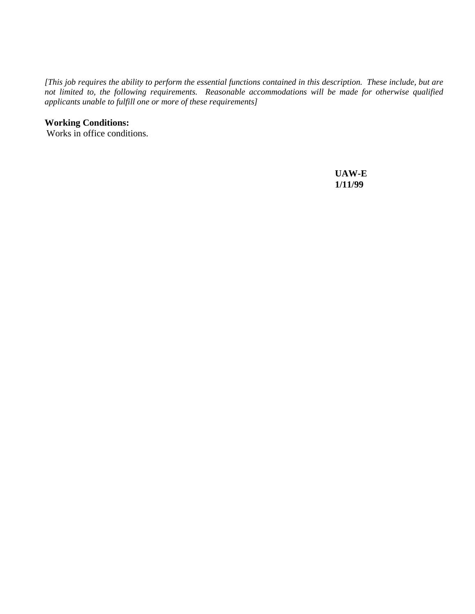*[This job requires the ability to perform the essential functions contained in this description. These include, but are not limited to, the following requirements. Reasonable accommodations will be made for otherwise qualified applicants unable to fulfill one or more of these requirements]*

## **Working Conditions:**

Works in office conditions.

 **UAW-E 1/11/99**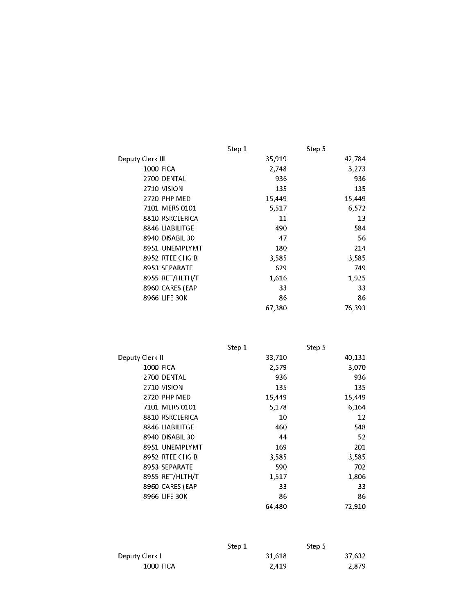|                     | Step 1 | Step 5 |
|---------------------|--------|--------|
| Deputy Clerk III    | 35,919 | 42,784 |
| <b>1000 FICA</b>    | 2,748  | 3,273  |
| 2700 DENTAL         | 936    | 936    |
| 2710 VISION         | 135    | 135    |
| <b>2720 PHP MED</b> | 15,449 | 15,449 |
| 7101 MERS 0101      | 5,517  | 6,572  |
| 8810 RSKCLERICA     | 11     | 13     |
| 8846 LIABILITGE     | 490    | 584    |
| 8940 DISABIL 30     | 47     | 56     |
| 8951 UNEMPLYMT      | 180    | 214    |
| 8952 RTEE CHG B     | 3,585  | 3,585  |
| 8953 SEPARATE       | 629    | 749    |
| 8955 RET/HLTH/T     | 1,616  | 1,925  |
| 8960 CARES (EAP     | 33     | 33     |
| 8966 LIFE 30K       | 86     | 86     |
|                     | 67,380 | 76,393 |

|                        | Step 1 | Step 5 |  |
|------------------------|--------|--------|--|
| Deputy Clerk II        | 33,710 | 40,131 |  |
| <b>1000 FICA</b>       | 2,579  | 3,070  |  |
| 2700 DENTAL            | 936    | 936    |  |
| 2710 VISION            | 135    | 135    |  |
| 2720 PHP MED           | 15,449 | 15,449 |  |
| 7101 MERS 0101         | 5,178  | 6,164  |  |
| <b>8810 RSKCLERICA</b> | 10     | 12     |  |
| 8846 LIABILITGE        | 460    | 548    |  |
| 8940 DISABIL 30        | 44     | 52     |  |
| 8951 UNEMPLYMT         | 169    | 201    |  |
| 8952 RTEE CHG B        | 3,585  | 3,585  |  |
| 8953 SEPARATE          | 590    | 702    |  |
| 8955 RET/HLTH/T        | 1,517  | 1,806  |  |
| 8960 CARES (EAP        | 33     | 33     |  |
| 8966 LIFE 30K          | 86     | 86     |  |
|                        | 64,480 | 72,910 |  |
|                        |        |        |  |

|                  | Step 1 |        | Step 5 |
|------------------|--------|--------|--------|
| Deputy Clerk L   |        | 31.618 | 37.632 |
| <b>1000 FICA</b> |        | 2.419  | 2.879  |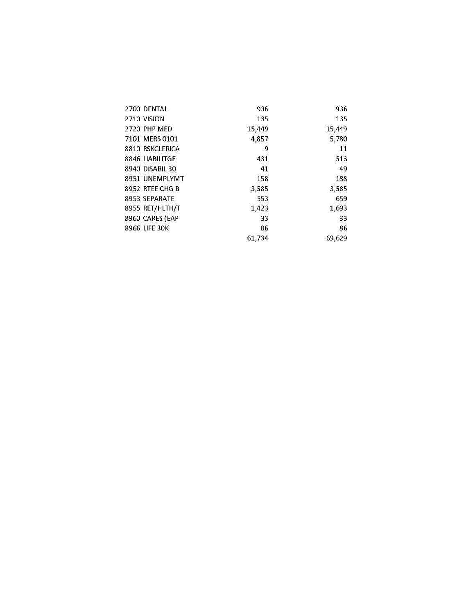| 2700 DENTAL     | 936    | 936    |
|-----------------|--------|--------|
| 2710 VISION     | 135    | 135    |
| 2720 PHP MED    | 15,449 | 15,449 |
| 7101 MERS 0101  | 4,857  | 5,780  |
| 8810 RSKCLERICA | 9      | 11     |
| 8846 LIABILITGE | 431    | 513    |
| 8940 DISABIL 30 | 41     | 49     |
| 8951 UNEMPLYMT  | 158    | 188    |
| 8952 RTEE CHG B | 3,585  | 3,585  |
| 8953 SEPARATE   | 553    | 659    |
| 8955 RET/HLTH/T | 1,423  | 1,693  |
| 8960 CARES (EAP | 33     | 33     |
| 8966 LIFE 30K   | 86     | 86     |
|                 | 61.734 | 69.629 |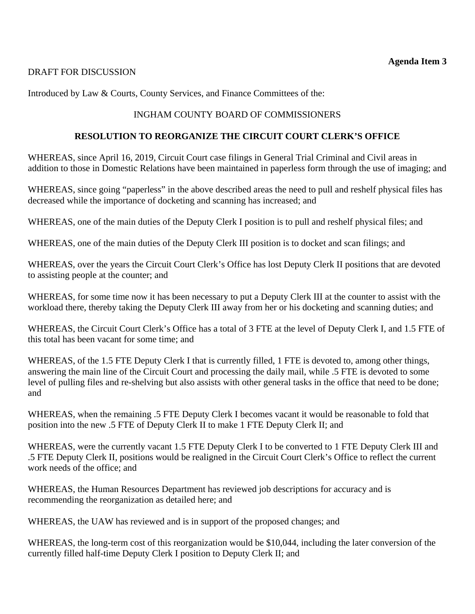## DRAFT FOR DISCUSSION

Introduced by Law & Courts, County Services, and Finance Committees of the:

# INGHAM COUNTY BOARD OF COMMISSIONERS

## **RESOLUTION TO REORGANIZE THE CIRCUIT COURT CLERK'S OFFICE**

WHEREAS, since April 16, 2019, Circuit Court case filings in General Trial Criminal and Civil areas in addition to those in Domestic Relations have been maintained in paperless form through the use of imaging; and

WHEREAS, since going "paperless" in the above described areas the need to pull and reshelf physical files has decreased while the importance of docketing and scanning has increased; and

WHEREAS, one of the main duties of the Deputy Clerk I position is to pull and reshelf physical files; and

WHEREAS, one of the main duties of the Deputy Clerk III position is to docket and scan filings; and

WHEREAS, over the years the Circuit Court Clerk's Office has lost Deputy Clerk II positions that are devoted to assisting people at the counter; and

WHEREAS, for some time now it has been necessary to put a Deputy Clerk III at the counter to assist with the workload there, thereby taking the Deputy Clerk III away from her or his docketing and scanning duties; and

WHEREAS, the Circuit Court Clerk's Office has a total of 3 FTE at the level of Deputy Clerk I, and 1.5 FTE of this total has been vacant for some time; and

WHEREAS, of the 1.5 FTE Deputy Clerk I that is currently filled, 1 FTE is devoted to, among other things, answering the main line of the Circuit Court and processing the daily mail, while .5 FTE is devoted to some level of pulling files and re-shelving but also assists with other general tasks in the office that need to be done; and

WHEREAS, when the remaining .5 FTE Deputy Clerk I becomes vacant it would be reasonable to fold that position into the new .5 FTE of Deputy Clerk II to make 1 FTE Deputy Clerk II; and

WHEREAS, were the currently vacant 1.5 FTE Deputy Clerk I to be converted to 1 FTE Deputy Clerk III and .5 FTE Deputy Clerk II, positions would be realigned in the Circuit Court Clerk's Office to reflect the current work needs of the office; and

WHEREAS, the Human Resources Department has reviewed job descriptions for accuracy and is recommending the reorganization as detailed here; and

WHEREAS, the UAW has reviewed and is in support of the proposed changes; and

WHEREAS, the long-term cost of this reorganization would be \$10,044, including the later conversion of the currently filled half-time Deputy Clerk I position to Deputy Clerk II; and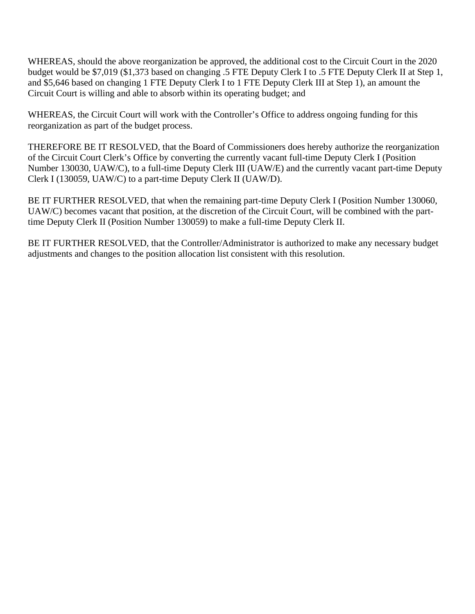WHEREAS, should the above reorganization be approved, the additional cost to the Circuit Court in the 2020 budget would be \$7,019 (\$1,373 based on changing .5 FTE Deputy Clerk I to .5 FTE Deputy Clerk II at Step 1, and \$5,646 based on changing 1 FTE Deputy Clerk I to 1 FTE Deputy Clerk III at Step 1), an amount the Circuit Court is willing and able to absorb within its operating budget; and

WHEREAS, the Circuit Court will work with the Controller's Office to address ongoing funding for this reorganization as part of the budget process.

THEREFORE BE IT RESOLVED, that the Board of Commissioners does hereby authorize the reorganization of the Circuit Court Clerk's Office by converting the currently vacant full-time Deputy Clerk I (Position Number 130030, UAW/C), to a full-time Deputy Clerk III (UAW/E) and the currently vacant part-time Deputy Clerk I (130059, UAW/C) to a part-time Deputy Clerk II (UAW/D).

BE IT FURTHER RESOLVED, that when the remaining part-time Deputy Clerk I (Position Number 130060, UAW/C) becomes vacant that position, at the discretion of the Circuit Court, will be combined with the parttime Deputy Clerk II (Position Number 130059) to make a full-time Deputy Clerk II.

BE IT FURTHER RESOLVED, that the Controller/Administrator is authorized to make any necessary budget adjustments and changes to the position allocation list consistent with this resolution.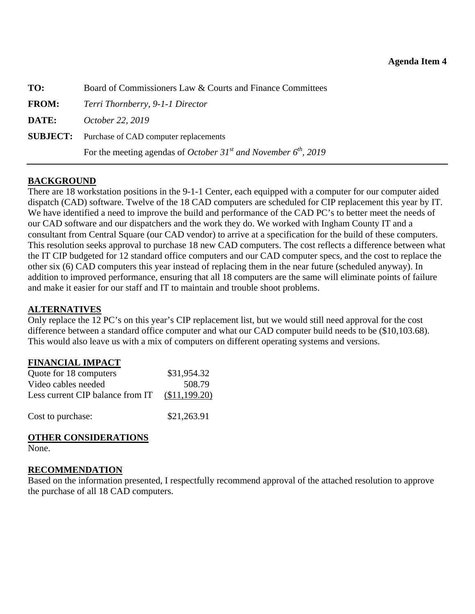<span id="page-48-0"></span>

| TO:          | Board of Commissioners Law & Courts and Finance Committees                                  |  |
|--------------|---------------------------------------------------------------------------------------------|--|
| <b>FROM:</b> | Terri Thornberry, 9-1-1 Director                                                            |  |
| DATE:        | October 22, 2019                                                                            |  |
|              | <b>SUBJECT:</b> Purchase of CAD computer replacements                                       |  |
|              | For the meeting agendas of <i>October</i> 31 <sup>st</sup> and <i>November</i> $6th$ , 2019 |  |
|              |                                                                                             |  |

## **BACKGROUND**

There are 18 workstation positions in the 9-1-1 Center, each equipped with a computer for our computer aided dispatch (CAD) software. Twelve of the 18 CAD computers are scheduled for CIP replacement this year by IT. We have identified a need to improve the build and performance of the CAD PC's to better meet the needs of our CAD software and our dispatchers and the work they do. We worked with Ingham County IT and a consultant from Central Square (our CAD vendor) to arrive at a specification for the build of these computers. This resolution seeks approval to purchase 18 new CAD computers. The cost reflects a difference between what the IT CIP budgeted for 12 standard office computers and our CAD computer specs, and the cost to replace the other six (6) CAD computers this year instead of replacing them in the near future (scheduled anyway). In addition to improved performance, ensuring that all 18 computers are the same will eliminate points of failure and make it easier for our staff and IT to maintain and trouble shoot problems.

## **ALTERNATIVES**

Only replace the 12 PC's on this year's CIP replacement list, but we would still need approval for the cost difference between a standard office computer and what our CAD computer build needs to be (\$10,103.68). This would also leave us with a mix of computers on different operating systems and versions.

## **FINANCIAL IMPACT**

| Quote for 18 computers           | \$31,954.32   |
|----------------------------------|---------------|
| Video cables needed              | 508.79        |
| Less current CIP balance from IT | (\$11,199.20) |
| Cost to purchase:                | \$21,263.91   |

## **OTHER CONSIDERATIONS**

None.

### **RECOMMENDATION**

Based on the information presented, I respectfully recommend approval of the attached resolution to approve the purchase of all 18 CAD computers.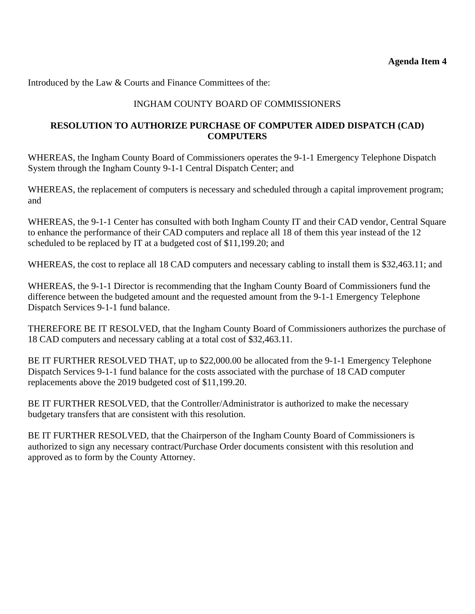Introduced by the Law & Courts and Finance Committees of the:

# INGHAM COUNTY BOARD OF COMMISSIONERS

## **RESOLUTION TO AUTHORIZE PURCHASE OF COMPUTER AIDED DISPATCH (CAD) COMPUTERS**

WHEREAS, the Ingham County Board of Commissioners operates the 9-1-1 Emergency Telephone Dispatch System through the Ingham County 9-1-1 Central Dispatch Center; and

WHEREAS, the replacement of computers is necessary and scheduled through a capital improvement program; and

WHEREAS, the 9-1-1 Center has consulted with both Ingham County IT and their CAD vendor, Central Square to enhance the performance of their CAD computers and replace all 18 of them this year instead of the 12 scheduled to be replaced by IT at a budgeted cost of \$11,199.20; and

WHEREAS, the cost to replace all 18 CAD computers and necessary cabling to install them is \$32,463.11; and

WHEREAS, the 9-1-1 Director is recommending that the Ingham County Board of Commissioners fund the difference between the budgeted amount and the requested amount from the 9-1-1 Emergency Telephone Dispatch Services 9-1-1 fund balance.

THEREFORE BE IT RESOLVED, that the Ingham County Board of Commissioners authorizes the purchase of 18 CAD computers and necessary cabling at a total cost of \$32,463.11.

BE IT FURTHER RESOLVED THAT, up to \$22,000.00 be allocated from the 9-1-1 Emergency Telephone Dispatch Services 9-1-1 fund balance for the costs associated with the purchase of 18 CAD computer replacements above the 2019 budgeted cost of \$11,199.20.

BE IT FURTHER RESOLVED, that the Controller/Administrator is authorized to make the necessary budgetary transfers that are consistent with this resolution.

BE IT FURTHER RESOLVED, that the Chairperson of the Ingham County Board of Commissioners is authorized to sign any necessary contract/Purchase Order documents consistent with this resolution and approved as to form by the County Attorney.